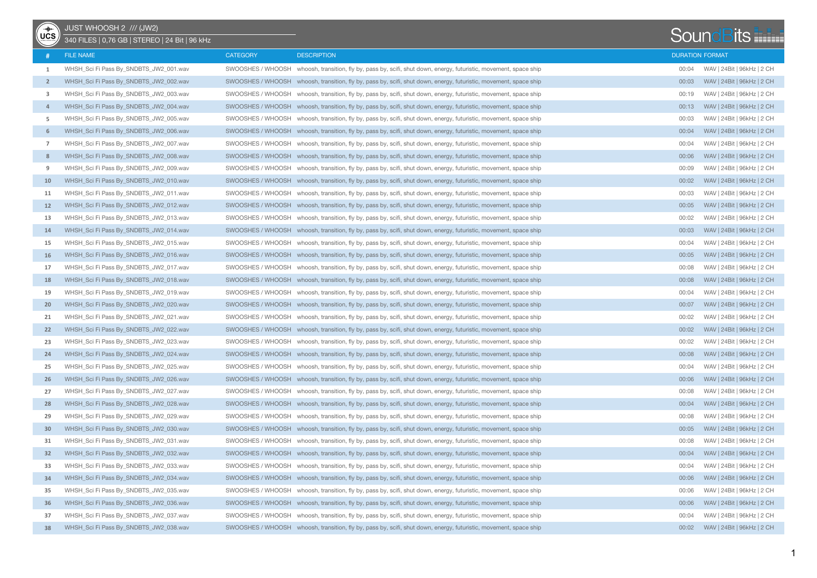| -<br><sub>"咖</sub><br>UCS | JUST WHOOSH 2 /// (JW2)<br>340 FILES   0,76 GB   STEREO   24 Bit   96 kHz |                   |                                                                                                                   |       | <b>SoundBits</b>           |
|---------------------------|---------------------------------------------------------------------------|-------------------|-------------------------------------------------------------------------------------------------------------------|-------|----------------------------|
|                           | <b>FILE NAME</b>                                                          | <b>CATEGORY</b>   | <b>DESCRIPTION</b>                                                                                                |       | <b>DURATION FORMAT</b>     |
| 1                         | WHSH_Sci Fi Pass By_SNDBTS_JW2_001.wav                                    |                   | SWOOSHES / WHOOSH whoosh, transition, fly by, pass by, scifi, shut down, energy, futuristic, movement, space ship | 00:04 | WAV   24Bit   96kHz   2 CH |
| $\overline{2}$            | WHSH_Sci Fi Pass By_SNDBTS_JW2_002.wav                                    |                   | SWOOSHES / WHOOSH whoosh, transition, fly by, pass by, scifi, shut down, energy, futuristic, movement, space ship | 00:03 | WAV   24Bit   96kHz   2 CH |
| 3                         | WHSH_Sci Fi Pass By_SNDBTS_JW2_003.wav                                    |                   | SWOOSHES / WHOOSH whoosh, transition, fly by, pass by, scifi, shut down, energy, futuristic, movement, space ship | 00:19 | WAV   24Bit   96kHz   2 CH |
| $\overline{4}$            | WHSH_Sci Fi Pass By_SNDBTS_JW2_004.wav                                    | SWOOSHES / WHOOSH | whoosh, transition, fly by, pass by, scifi, shut down, energy, futuristic, movement, space ship                   | 00:13 | WAV   24Bit   96kHz   2 CH |
| 5                         | WHSH_Sci Fi Pass By_SNDBTS_JW2_005.wav                                    |                   | SWOOSHES / WHOOSH whoosh, transition, fly by, pass by, scifi, shut down, energy, futuristic, movement, space ship | 00:03 | WAV   24Bit   96kHz   2 CH |
| 6                         | WHSH_Sci Fi Pass By_SNDBTS_JW2_006.wav                                    |                   | SWOOSHES / WHOOSH whoosh, transition, fly by, pass by, scifi, shut down, energy, futuristic, movement, space ship | 00:04 | WAV   24Bit   96kHz   2 CH |
| $\overline{7}$            | WHSH_Sci Fi Pass By_SNDBTS_JW2_007.wav                                    |                   | SWOOSHES / WHOOSH whoosh, transition, fly by, pass by, scifi, shut down, energy, futuristic, movement, space ship | 00:04 | WAV   24Bit   96kHz   2 CH |
| 8                         | WHSH Sci Fi Pass By SNDBTS JW2 008.wav                                    |                   | SWOOSHES / WHOOSH whoosh, transition, fly by, pass by, scifi, shut down, energy, futuristic, movement, space ship | 00:06 | WAV   24Bit   96kHz   2 CH |
| 9                         | WHSH_Sci Fi Pass By_SNDBTS_JW2_009.wav                                    |                   | SWOOSHES / WHOOSH whoosh, transition, fly by, pass by, scifi, shut down, energy, futuristic, movement, space ship | 00:09 | WAV   24Bit   96kHz   2 CH |
| 10                        | WHSH_Sci Fi Pass By_SNDBTS_JW2_010.wav                                    |                   | SWOOSHES / WHOOSH whoosh, transition, fly by, pass by, scifi, shut down, energy, futuristic, movement, space ship | 00:02 | WAV   24Bit   96kHz   2 CH |
| 11                        | WHSH_Sci Fi Pass By_SNDBTS_JW2_011.wav                                    |                   | SWOOSHES / WHOOSH whoosh, transition, fly by, pass by, scifi, shut down, energy, futuristic, movement, space ship | 00:03 | WAV   24Bit   96kHz   2 CH |
| 12                        | WHSH_Sci Fi Pass By_SNDBTS_JW2_012.wav                                    |                   | SWOOSHES / WHOOSH whoosh, transition, fly by, pass by, scifi, shut down, energy, futuristic, movement, space ship | 00:05 | WAV   24Bit   96kHz   2 CH |
| 13                        | WHSH_Sci Fi Pass By_SNDBTS_JW2_013.wav                                    |                   | SWOOSHES / WHOOSH whoosh, transition, fly by, pass by, scifi, shut down, energy, futuristic, movement, space ship | 00:02 | WAV   24Bit   96kHz   2 CH |
| 14                        | WHSH_Sci Fi Pass By_SNDBTS_JW2_014.wav                                    |                   | SWOOSHES / WHOOSH whoosh, transition, fly by, pass by, scifi, shut down, energy, futuristic, movement, space ship | 00:03 | WAV   24Bit   96kHz   2 CH |
| 15                        | WHSH_Sci Fi Pass By_SNDBTS_JW2_015.wav                                    |                   | SWOOSHES / WHOOSH whoosh, transition, fly by, pass by, scifi, shut down, energy, futuristic, movement, space ship | 00:04 | WAV   24Bit   96kHz   2 CH |
| 16                        | WHSH_Sci Fi Pass By_SNDBTS_JW2_016.wav                                    |                   | SWOOSHES / WHOOSH whoosh, transition, fly by, pass by, scifi, shut down, energy, futuristic, movement, space ship | 00:05 | WAV   24Bit   96kHz   2 CH |
| 17                        | WHSH Sci Fi Pass By SNDBTS JW2 017.wav                                    |                   | SWOOSHES / WHOOSH whoosh, transition, fly by, pass by, scifi, shut down, energy, futuristic, movement, space ship | 00:08 | WAV   24Bit   96kHz   2 CH |
| 18                        | WHSH_Sci Fi Pass By_SNDBTS_JW2_018.wav                                    |                   | SWOOSHES / WHOOSH whoosh, transition, fly by, pass by, scifi, shut down, energy, futuristic, movement, space ship | 00:08 | WAV   24Bit   96kHz   2 CH |
| 19                        | WHSH_Sci Fi Pass By_SNDBTS_JW2_019.wav                                    | SWOOSHES / WHOOSH | whoosh, transition, fly by, pass by, scifi, shut down, energy, futuristic, movement, space ship                   | 00:04 | WAV   24Bit   96kHz   2 CH |
| 20                        | WHSH_Sci Fi Pass By_SNDBTS_JW2_020.wav                                    |                   | SWOOSHES / WHOOSH whoosh, transition, fly by, pass by, scifi, shut down, energy, futuristic, movement, space ship | 00:07 | WAV   24Bit   96kHz   2 CH |
| 21                        | WHSH_Sci Fi Pass By_SNDBTS_JW2_021.wav                                    |                   | SWOOSHES / WHOOSH whoosh, transition, fly by, pass by, scifi, shut down, energy, futuristic, movement, space ship | 00:02 | WAV   24Bit   96kHz   2 CH |
| 22                        | WHSH_Sci Fi Pass By_SNDBTS_JW2_022.wav                                    |                   | SWOOSHES / WHOOSH whoosh, transition, fly by, pass by, scifi, shut down, energy, futuristic, movement, space ship | 00:02 | WAV   24Bit   96kHz   2 CH |
| 23                        | WHSH_Sci Fi Pass By_SNDBTS_JW2_023.wav                                    |                   | SWOOSHES / WHOOSH whoosh, transition, fly by, pass by, scifi, shut down, energy, futuristic, movement, space ship | 00:02 | WAV   24Bit   96kHz   2 CH |
| 24                        | WHSH_Sci Fi Pass By_SNDBTS_JW2_024.wav                                    |                   | SWOOSHES / WHOOSH whoosh, transition, fly by, pass by, scifi, shut down, energy, futuristic, movement, space ship | 00:08 | WAV   24Bit   96kHz   2 CH |
| 25                        | WHSH_Sci Fi Pass By_SNDBTS_JW2_025.wav                                    |                   | SWOOSHES / WHOOSH whoosh, transition, fly by, pass by, scifi, shut down, energy, futuristic, movement, space ship | 00:04 | WAV   24Bit   96kHz   2 CH |
| 26                        | WHSH_Sci Fi Pass By_SNDBTS_JW2_026.wav                                    |                   | SWOOSHES / WHOOSH whoosh, transition, fly by, pass by, scifi, shut down, energy, futuristic, movement, space ship | 00:06 | WAV   24Bit   96kHz   2 CH |
| 27                        | WHSH_Sci Fi Pass By_SNDBTS_JW2_027.wav                                    |                   | SWOOSHES / WHOOSH whoosh, transition, fly by, pass by, scifi, shut down, energy, futuristic, movement, space ship | 00:08 | WAV   24Bit   96kHz   2 CH |
| 28                        | WHSH_Sci Fi Pass By_SNDBTS_JW2_028.wav                                    |                   | SWOOSHES / WHOOSH whoosh, transition, fly by, pass by, scifi, shut down, energy, futuristic, movement, space ship | 00:04 | WAV   24Bit   96kHz   2 CH |
| 29                        | WHSH_Sci Fi Pass By_SNDBTS_JW2_029.wav                                    |                   | SWOOSHES / WHOOSH whoosh, transition, fly by, pass by, scifi, shut down, energy, futuristic, movement, space ship | 00:08 | WAV   24Bit   96kHz   2 CH |
| 30                        | WHSH_Sci Fi Pass By_SNDBTS_JW2_030.wav                                    |                   | SWOOSHES / WHOOSH whoosh, transition, fly by, pass by, scifi, shut down, energy, futuristic, movement, space ship | 00:05 | WAV   24Bit   96kHz   2 CH |
| 31                        | WHSH_Sci Fi Pass By_SNDBTS_JW2_031.wav                                    |                   | SWOOSHES / WHOOSH whoosh, transition, fly by, pass by, scifi, shut down, energy, futuristic, movement, space ship | 00:08 | WAV   24Bit   96kHz   2 CH |
| 32                        | WHSH_Sci Fi Pass By_SNDBTS_JW2_032.wav                                    |                   | SWOOSHES / WHOOSH whoosh, transition, fly by, pass by, scifi, shut down, energy, futuristic, movement, space ship | 00:04 | WAV   24Bit   96kHz   2 CH |
| 33                        | WHSH_Sci Fi Pass By_SNDBTS_JW2_033.wav                                    |                   | SWOOSHES / WHOOSH whoosh, transition, fly by, pass by, scifi, shut down, energy, futuristic, movement, space ship | 00:04 | WAV   24Bit   96kHz   2 CH |
| 34                        | WHSH_Sci Fi Pass By_SNDBTS_JW2_034.wav                                    |                   | SWOOSHES / WHOOSH whoosh, transition, fly by, pass by, scifi, shut down, energy, futuristic, movement, space ship | 00:06 | WAV   24Bit   96kHz   2 CH |
| 35                        | WHSH_Sci Fi Pass By_SNDBTS_JW2_035.wav                                    |                   | SWOOSHES / WHOOSH whoosh, transition, fly by, pass by, scifi, shut down, energy, futuristic, movement, space ship | 00:06 | WAV   24Bit   96kHz   2 CH |
| 36                        | WHSH_Sci Fi Pass By_SNDBTS_JW2_036.wav                                    |                   | SWOOSHES / WHOOSH whoosh, transition, fly by, pass by, scifi, shut down, energy, futuristic, movement, space ship | 00:06 | WAV   24Bit   96kHz   2 CH |
| 37                        | WHSH_Sci Fi Pass By_SNDBTS_JW2_037.wav                                    |                   | SWOOSHES / WHOOSH whoosh, transition, fly by, pass by, scifi, shut down, energy, futuristic, movement, space ship | 00:04 | WAV   24Bit   96kHz   2 CH |
| 38                        | WHSH_Sci Fi Pass By_SNDBTS_JW2_038.wav                                    |                   | SWOOSHES / WHOOSH whoosh, transition, fly by, pass by, scifi, shut down, energy, futuristic, movement, space ship | 00:02 | WAV   24Bit   96kHz   2 CH |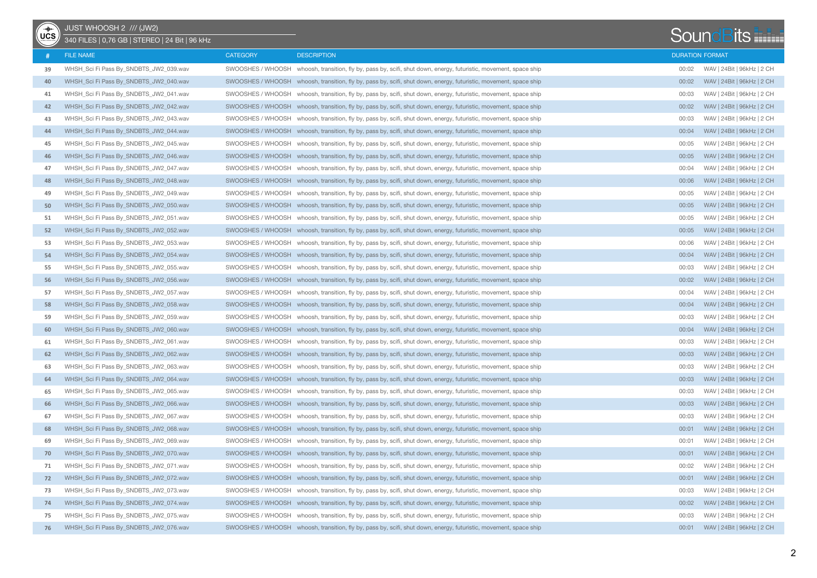| ⊸⊪∼ | JUST WHOOSH 2 /// (JW2)                        |                   |                                                                                                                   |       |                            |
|-----|------------------------------------------------|-------------------|-------------------------------------------------------------------------------------------------------------------|-------|----------------------------|
| UCS | 340 FILES   0,76 GB   STEREO   24 Bit   96 kHz |                   |                                                                                                                   |       | <b>SoundBits</b>           |
|     | <b>FILE NAME</b>                               | <b>CATEGORY</b>   | <b>DESCRIPTION</b>                                                                                                |       | <b>DURATION FORMAT</b>     |
| 39  | WHSH_Sci Fi Pass By_SNDBTS_JW2_039.wav         |                   | SWOOSHES / WHOOSH whoosh, transition, fly by, pass by, scifi, shut down, energy, futuristic, movement, space ship | 00:02 | WAV   24Bit   96kHz   2 CH |
| 40  | WHSH_Sci Fi Pass By_SNDBTS_JW2_040.wav         |                   | SWOOSHES / WHOOSH whoosh, transition, fly by, pass by, scifi, shut down, energy, futuristic, movement, space ship | 00:02 | WAV   24Bit   96kHz   2 CH |
| 41  | WHSH_Sci Fi Pass By_SNDBTS_JW2_041.wav         |                   | SWOOSHES / WHOOSH whoosh, transition, fly by, pass by, scifi, shut down, energy, futuristic, movement, space ship | 00:03 | WAV   24Bit   96kHz   2 CH |
| 42  | WHSH_Sci Fi Pass By_SNDBTS_JW2_042.wav         |                   | SWOOSHES / WHOOSH whoosh, transition, fly by, pass by, scifi, shut down, energy, futuristic, movement, space ship | 00:02 | WAV   24Bit   96kHz   2 CH |
| 43  | WHSH Sci Fi Pass By SNDBTS JW2 043.wav         | SWOOSHES / WHOOSH | whoosh, transition, fly by, pass by, scifi, shut down, energy, futuristic, movement, space ship                   | 00:03 | WAV   24Bit   96kHz   2 CH |
| 44  | WHSH_Sci Fi Pass By_SNDBTS_JW2_044.wav         |                   | SWOOSHES / WHOOSH whoosh, transition, fly by, pass by, scifi, shut down, energy, futuristic, movement, space ship | 00:04 | WAV   24Bit   96kHz   2 CH |
| 45  | WHSH_Sci Fi Pass By_SNDBTS_JW2_045.wav         |                   | SWOOSHES / WHOOSH whoosh, transition, fly by, pass by, scifi, shut down, energy, futuristic, movement, space ship | 00:05 | WAV   24Bit   96kHz   2 CH |
| 46  | WHSH_Sci Fi Pass By_SNDBTS_JW2_046.wav         |                   | SWOOSHES / WHOOSH whoosh, transition, fly by, pass by, scifi, shut down, energy, futuristic, movement, space ship | 00:05 | WAV   24Bit   96kHz   2 CH |
| 47  | WHSH_Sci Fi Pass By_SNDBTS_JW2_047.wav         |                   | SWOOSHES / WHOOSH whoosh, transition, fly by, pass by, scifi, shut down, energy, futuristic, movement, space ship | 00:04 | WAV   24Bit   96kHz   2 CH |
| 48  | WHSH_Sci Fi Pass By_SNDBTS_JW2_048.wav         |                   | SWOOSHES / WHOOSH whoosh, transition, fly by, pass by, scifi, shut down, energy, futuristic, movement, space ship | 00:06 | WAV   24Bit   96kHz   2 CH |
| 49  | WHSH_Sci Fi Pass By_SNDBTS_JW2_049.wav         |                   | SWOOSHES / WHOOSH whoosh, transition, fly by, pass by, scifi, shut down, energy, futuristic, movement, space ship | 00:05 | WAV   24Bit   96kHz   2 CH |
| 50  | WHSH_Sci Fi Pass By_SNDBTS_JW2_050.wav         |                   | SWOOSHES / WHOOSH whoosh, transition, fly by, pass by, scifi, shut down, energy, futuristic, movement, space ship | 00:05 | WAV   24Bit   96kHz   2 CH |
| 51  | WHSH_Sci Fi Pass By_SNDBTS_JW2_051.wav         |                   | SWOOSHES / WHOOSH whoosh, transition, fly by, pass by, scifi, shut down, energy, futuristic, movement, space ship | 00:05 | WAV   24Bit   96kHz   2 CH |
| 52  | WHSH_Sci Fi Pass By_SNDBTS_JW2_052.wav         |                   | SWOOSHES / WHOOSH whoosh, transition, fly by, pass by, scifi, shut down, energy, futuristic, movement, space ship | 00:05 | WAV   24Bit   96kHz   2 CH |
| 53  | WHSH_Sci Fi Pass By_SNDBTS_JW2_053.wav         |                   | SWOOSHES / WHOOSH whoosh, transition, fly by, pass by, scifi, shut down, energy, futuristic, movement, space ship | 00:06 | WAV   24Bit   96kHz   2 CH |
| 54  | WHSH_Sci Fi Pass By_SNDBTS_JW2_054.wav         |                   | SWOOSHES / WHOOSH whoosh, transition, fly by, pass by, scifi, shut down, energy, futuristic, movement, space ship | 00:04 | WAV   24Bit   96kHz   2 CH |
| 55  | WHSH_Sci Fi Pass By_SNDBTS_JW2_055.wav         |                   | SWOOSHES / WHOOSH whoosh, transition, fly by, pass by, scifi, shut down, energy, futuristic, movement, space ship | 00:03 | WAV   24Bit   96kHz   2 CH |
| 56  | WHSH_Sci Fi Pass By_SNDBTS_JW2_056.wav         |                   | SWOOSHES / WHOOSH whoosh, transition, fly by, pass by, scifi, shut down, energy, futuristic, movement, space ship | 00:02 | WAV   24Bit   96kHz   2 CH |
| 57  | WHSH_Sci Fi Pass By_SNDBTS_JW2_057.wav         |                   | SWOOSHES / WHOOSH whoosh, transition, fly by, pass by, scifi, shut down, energy, futuristic, movement, space ship | 00:04 | WAV   24Bit   96kHz   2 CH |
| 58  | WHSH_Sci Fi Pass By_SNDBTS_JW2_058.wav         |                   | SWOOSHES / WHOOSH whoosh, transition, fly by, pass by, scifi, shut down, energy, futuristic, movement, space ship | 00:04 | WAV   24Bit   96kHz   2 CH |
| 59  | WHSH_Sci Fi Pass By_SNDBTS_JW2_059.wav         | SWOOSHES / WHOOSH | whoosh, transition, fly by, pass by, scifi, shut down, energy, futuristic, movement, space ship                   | 00:03 | WAV   24Bit   96kHz   2 CH |
| 60  | WHSH_Sci Fi Pass By_SNDBTS_JW2_060.wav         |                   | SWOOSHES / WHOOSH whoosh, transition, fly by, pass by, scifi, shut down, energy, futuristic, movement, space ship | 00:04 | WAV   24Bit   96kHz   2 CH |
| 61  | WHSH_Sci Fi Pass By_SNDBTS_JW2_061.wav         |                   | SWOOSHES / WHOOSH whoosh, transition, fly by, pass by, scifi, shut down, energy, futuristic, movement, space ship | 00:03 | WAV   24Bit   96kHz   2 CH |
| 62  | WHSH_Sci Fi Pass By_SNDBTS_JW2_062.wav         |                   | SWOOSHES / WHOOSH whoosh, transition, fly by, pass by, scifi, shut down, energy, futuristic, movement, space ship | 00:03 | WAV   24Bit   96kHz   2 CH |
| 63  | WHSH_Sci Fi Pass By_SNDBTS_JW2_063.wav         |                   | SWOOSHES / WHOOSH whoosh, transition, fly by, pass by, scifi, shut down, energy, futuristic, movement, space ship | 00:03 | WAV   24Bit   96kHz   2 CH |
| 64  | WHSH_Sci Fi Pass By_SNDBTS_JW2_064.wav         |                   | SWOOSHES / WHOOSH whoosh, transition, fly by, pass by, scifi, shut down, energy, futuristic, movement, space ship | 00:03 | WAV   24Bit   96kHz   2 CH |
| 65  | WHSH_Sci Fi Pass By_SNDBTS_JW2_065.wav         |                   | SWOOSHES / WHOOSH whoosh, transition, fly by, pass by, scifi, shut down, energy, futuristic, movement, space ship | 00:03 | WAV   24Bit   96kHz   2 CH |
| 66  | WHSH_Sci Fi Pass By_SNDBTS_JW2_066.wav         |                   | SWOOSHES / WHOOSH whoosh, transition, fly by, pass by, scifi, shut down, energy, futuristic, movement, space ship | 00:03 | WAV   24Bit   96kHz   2 CH |
| 67  | WHSH_Sci Fi Pass By_SNDBTS_JW2_067.wav         |                   | SWOOSHES / WHOOSH whoosh, transition, fly by, pass by, scifi, shut down, energy, futuristic, movement, space ship | 00:03 | WAV   24Bit   96kHz   2 CH |
| 68  | WHSH_Sci Fi Pass By_SNDBTS_JW2_068.wav         |                   | SWOOSHES / WHOOSH whoosh, transition, fly by, pass by, scifi, shut down, energy, futuristic, movement, space ship | 00:01 | WAV   24Bit   96kHz   2 CH |
| 69  | WHSH_Sci Fi Pass By_SNDBTS_JW2_069.wav         |                   | SWOOSHES / WHOOSH whoosh, transition, fly by, pass by, scifi, shut down, energy, futuristic, movement, space ship | 00:01 | WAV   24Bit   96kHz   2 CH |
| 70  | WHSH Sci Fi Pass By SNDBTS JW2 070.wav         |                   | SWOOSHES / WHOOSH whoosh, transition, fly by, pass by, scifi, shut down, energy, futuristic, movement, space ship | 00:01 | WAV   24Bit   96kHz   2 CH |
| 71  | WHSH_Sci Fi Pass By_SNDBTS_JW2_071.wav         |                   | SWOOSHES / WHOOSH whoosh, transition, fly by, pass by, scifi, shut down, energy, futuristic, movement, space ship | 00:02 | WAV   24Bit   96kHz   2 CH |
| 72  | WHSH_Sci Fi Pass By_SNDBTS_JW2_072.wav         |                   | SWOOSHES / WHOOSH whoosh, transition, fly by, pass by, scifi, shut down, energy, futuristic, movement, space ship | 00:01 | WAV   24Bit   96kHz   2 CH |
| 73  | WHSH_Sci Fi Pass By_SNDBTS_JW2_073.wav         |                   | SWOOSHES / WHOOSH whoosh, transition, fly by, pass by, scifi, shut down, energy, futuristic, movement, space ship | 00:03 | WAV   24Bit   96kHz   2 CH |
| -74 | WHSH_Sci Fi Pass By_SNDBTS_JW2_074.wav         |                   | SWOOSHES / WHOOSH whoosh, transition, fly by, pass by, scifi, shut down, energy, futuristic, movement, space ship | 00:02 | WAV   24Bit   96kHz   2 CH |
| 75  | WHSH_Sci Fi Pass By_SNDBTS_JW2_075.wav         |                   | SWOOSHES / WHOOSH whoosh, transition, fly by, pass by, scifi, shut down, energy, futuristic, movement, space ship | 00:03 | WAV   24Bit   96kHz   2 CH |
| 76  | WHSH_Sci Fi Pass By_SNDBTS_JW2_076.wav         |                   | SWOOSHES / WHOOSH whoosh, transition, fly by, pass by, scifi, shut down, energy, futuristic, movement, space ship | 00:01 | WAV   24Bit   96kHz   2 CH |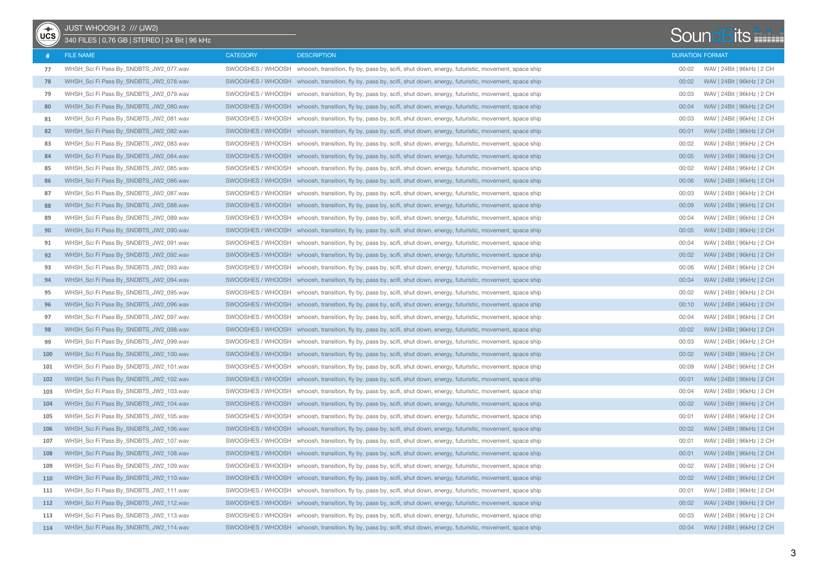| $\overline{\mathsf{UCS}}$ | JUST WHOOSH 2 /// (JW2)<br>340 FILES   0,76 GB   STEREO   24 Bit   96 kHz |                   |                                                                                                                   |       | <b>SoundBits</b>           |
|---------------------------|---------------------------------------------------------------------------|-------------------|-------------------------------------------------------------------------------------------------------------------|-------|----------------------------|
|                           | <b>FILE NAME</b>                                                          | <b>CATEGORY</b>   | <b>DESCRIPTION</b>                                                                                                |       | <b>DURATION FORMAT</b>     |
| 77                        | WHSH_Sci Fi Pass By_SNDBTS_JW2_077.wav                                    |                   | SWOOSHES / WHOOSH whoosh, transition, fly by, pass by, scifi, shut down, energy, futuristic, movement, space ship | 00:02 | WAV   24Bit   96kHz   2 CH |
| 78                        | WHSH_Sci Fi Pass By_SNDBTS_JW2_078.wav                                    |                   | SWOOSHES / WHOOSH whoosh, transition, fly by, pass by, scifi, shut down, energy, futuristic, movement, space ship | 00:02 | WAV   24Bit   96kHz   2 CH |
| 79                        | WHSH_Sci Fi Pass By_SNDBTS_JW2_079.wav                                    |                   | SWOOSHES / WHOOSH whoosh, transition, fly by, pass by, scifi, shut down, energy, futuristic, movement, space ship | 00:03 | WAV   24Bit   96kHz   2 CH |
| 80                        | WHSH_Sci Fi Pass By_SNDBTS_JW2_080.wav                                    |                   | SWOOSHES / WHOOSH whoosh, transition, fly by, pass by, scifi, shut down, energy, futuristic, movement, space ship | 00:04 | WAV   24Bit   96kHz   2 CH |
| 81                        | WHSH_Sci Fi Pass By_SNDBTS_JW2_081.wav                                    | SWOOSHES / WHOOSH | whoosh, transition, fly by, pass by, scifi, shut down, energy, futuristic, movement, space ship                   | 00:03 | WAV   24Bit   96kHz   2 CH |
| 82                        | WHSH_Sci Fi Pass By_SNDBTS_JW2_082.wav                                    |                   | SWOOSHES / WHOOSH whoosh, transition, fly by, pass by, scifi, shut down, energy, futuristic, movement, space ship | 00:01 | WAV   24Bit   96kHz   2 CH |
| 83                        | WHSH_Sci Fi Pass By_SNDBTS_JW2_083.wav                                    |                   | SWOOSHES / WHOOSH whoosh, transition, fly by, pass by, scifi, shut down, energy, futuristic, movement, space ship | 00:02 | WAV   24Bit   96kHz   2 CH |
| 84                        | WHSH_Sci Fi Pass By_SNDBTS_JW2_084.wav                                    |                   | SWOOSHES / WHOOSH whoosh, transition, fly by, pass by, scifi, shut down, energy, futuristic, movement, space ship | 00:05 | WAV   24Bit   96kHz   2 CH |
| 85                        | WHSH_Sci Fi Pass By_SNDBTS_JW2_085.wav                                    |                   | SWOOSHES / WHOOSH whoosh, transition, fly by, pass by, scifi, shut down, energy, futuristic, movement, space ship | 00:02 | WAV   24Bit   96kHz   2 CH |
| 86                        | WHSH_Sci Fi Pass By_SNDBTS_JW2_086.wav                                    |                   | SWOOSHES / WHOOSH whoosh, transition, fly by, pass by, scifi, shut down, energy, futuristic, movement, space ship | 00:06 | WAV   24Bit   96kHz   2 CH |
| 87                        | WHSH_Sci Fi Pass By_SNDBTS_JW2_087.wav                                    |                   | SWOOSHES / WHOOSH whoosh, transition, fly by, pass by, scifi, shut down, energy, futuristic, movement, space ship | 00:03 | WAV   24Bit   96kHz   2 CH |
| 88                        | WHSH_Sci Fi Pass By_SNDBTS_JW2_088.wav                                    |                   | SWOOSHES / WHOOSH whoosh, transition, fly by, pass by, scifi, shut down, energy, futuristic, movement, space ship | 00:09 | WAV   24Bit   96kHz   2 CH |
| 89                        | WHSH_Sci Fi Pass By_SNDBTS_JW2_089.wav                                    |                   | SWOOSHES / WHOOSH whoosh, transition, fly by, pass by, scifi, shut down, energy, futuristic, movement, space ship | 00:04 | WAV   24Bit   96kHz   2 CH |
| 90                        | WHSH_Sci Fi Pass By_SNDBTS_JW2_090.wav                                    |                   | SWOOSHES / WHOOSH whoosh, transition, fly by, pass by, scifi, shut down, energy, futuristic, movement, space ship | 00:05 | WAV   24Bit   96kHz   2 CH |
| 91                        | WHSH_Sci Fi Pass By_SNDBTS_JW2_091.wav                                    |                   | SWOOSHES / WHOOSH whoosh, transition, fly by, pass by, scifi, shut down, energy, futuristic, movement, space ship | 00:04 | WAV   24Bit   96kHz   2 CH |
| 92                        | WHSH_Sci Fi Pass By_SNDBTS_JW2_092.wav                                    |                   | SWOOSHES / WHOOSH whoosh, transition, fly by, pass by, scifi, shut down, energy, futuristic, movement, space ship | 00:02 | WAV   24Bit   96kHz   2 CH |
| 93                        | WHSH_Sci Fi Pass By_SNDBTS_JW2_093.wav                                    |                   | SWOOSHES / WHOOSH whoosh, transition, fly by, pass by, scifi, shut down, energy, futuristic, movement, space ship | 00:06 | WAV   24Bit   96kHz   2 CH |
| 94                        | WHSH Sci Fi Pass By SNDBTS JW2 094.wav                                    |                   | SWOOSHES / WHOOSH whoosh, transition, fly by, pass by, scifi, shut down, energy, futuristic, movement, space ship | 00:04 | WAV   24Bit   96kHz   2 CH |
| 95                        | WHSH_Sci Fi Pass By_SNDBTS_JW2_095.wav                                    |                   | SWOOSHES / WHOOSH whoosh, transition, fly by, pass by, scifi, shut down, energy, futuristic, movement, space ship | 00:02 | WAV   24Bit   96kHz   2 CH |
| 96                        | WHSH_Sci Fi Pass By_SNDBTS_JW2_096.wav                                    |                   | SWOOSHES / WHOOSH whoosh, transition, fly by, pass by, scifi, shut down, energy, futuristic, movement, space ship | 00:10 | WAV   24Bit   96kHz   2 CH |
| 97                        | WHSH_Sci Fi Pass By_SNDBTS_JW2_097.wav                                    | SWOOSHES / WHOOSH | whoosh, transition, fly by, pass by, scifi, shut down, energy, futuristic, movement, space ship                   | 00:04 | WAV   24Bit   96kHz   2 CH |
| 98                        | WHSH_Sci Fi Pass By_SNDBTS_JW2_098.wav                                    |                   | SWOOSHES / WHOOSH whoosh, transition, fly by, pass by, scifi, shut down, energy, futuristic, movement, space ship | 00:02 | WAV   24Bit   96kHz   2 CH |
| 99                        | WHSH_Sci Fi Pass By_SNDBTS_JW2_099.wav                                    |                   | SWOOSHES / WHOOSH whoosh, transition, fly by, pass by, scifi, shut down, energy, futuristic, movement, space ship | 00:03 | WAV   24Bit   96kHz   2 CH |
| 100                       | WHSH_Sci Fi Pass By_SNDBTS_JW2_100.wav                                    |                   | SWOOSHES / WHOOSH whoosh, transition, fly by, pass by, scifi, shut down, energy, futuristic, movement, space ship | 00:02 | WAV   24Bit   96kHz   2 CH |
| 101                       | WHSH_Sci Fi Pass By_SNDBTS_JW2_101.wav                                    |                   | SWOOSHES / WHOOSH whoosh, transition, fly by, pass by, scifi, shut down, energy, futuristic, movement, space ship | 00:09 | WAV   24Bit   96kHz   2 CH |
| 102                       | WHSH_Sci Fi Pass By_SNDBTS_JW2_102.wav                                    |                   | SWOOSHES / WHOOSH whoosh, transition, fly by, pass by, scifi, shut down, energy, futuristic, movement, space ship | 00:01 | WAV   24Bit   96kHz   2 CH |
| 103                       | WHSH_Sci Fi Pass By_SNDBTS_JW2_103.wav                                    |                   | SWOOSHES / WHOOSH whoosh, transition, fly by, pass by, scifi, shut down, energy, futuristic, movement, space ship | 00:04 | WAV   24Bit   96kHz   2 CH |
| 104                       | WHSH_Sci Fi Pass By_SNDBTS_JW2_104.wav                                    |                   | SWOOSHES / WHOOSH whoosh, transition, fly by, pass by, scifi, shut down, energy, futuristic, movement, space ship | 00:02 | WAV   24Bit   96kHz   2 CH |
| 105                       | WHSH_Sci Fi Pass By_SNDBTS_JW2_105.wav                                    |                   | SWOOSHES / WHOOSH whoosh, transition, fly by, pass by, scifi, shut down, energy, futuristic, movement, space ship | 00:01 | WAV   24Bit   96kHz   2 CH |
| 106                       | WHSH_Sci Fi Pass By_SNDBTS_JW2_106.wav                                    |                   | SWOOSHES / WHOOSH whoosh, transition, fly by, pass by, scifi, shut down, energy, futuristic, movement, space ship | 00:02 | WAV   24Bit   96kHz   2 CH |
| 107                       | WHSH_Sci Fi Pass By_SNDBTS_JW2_107.wav                                    |                   | SWOOSHES / WHOOSH whoosh, transition, fly by, pass by, scifi, shut down, energy, futuristic, movement, space ship | 00:01 | WAV   24Bit   96kHz   2 CH |
| 108                       | WHSH Sci Fi Pass By SNDBTS JW2 108.wav                                    |                   | SWOOSHES / WHOOSH whoosh, transition, fly by, pass by, scifi, shut down, energy, futuristic, movement, space ship | 00:01 | WAV   24Bit   96kHz   2 CH |
| 109                       | WHSH_Sci Fi Pass By_SNDBTS_JW2_109.wav                                    |                   | SWOOSHES / WHOOSH whoosh, transition, fly by, pass by, scifi, shut down, energy, futuristic, movement, space ship | 00:02 | WAV   24Bit   96kHz   2 CH |
| 110                       | WHSH_Sci Fi Pass By_SNDBTS_JW2_110.wav                                    |                   | SWOOSHES / WHOOSH whoosh, transition, fly by, pass by, scifi, shut down, energy, futuristic, movement, space ship | 00:02 | WAV   24Bit   96kHz   2 CH |
| 111                       | WHSH_Sci Fi Pass By_SNDBTS_JW2_111.wav                                    |                   | SWOOSHES / WHOOSH whoosh, transition, fly by, pass by, scifi, shut down, energy, futuristic, movement, space ship | 00:01 | WAV   24Bit   96kHz   2 CH |
| 112                       | WHSH_Sci Fi Pass By_SNDBTS_JW2_112.wav                                    |                   | SWOOSHES / WHOOSH whoosh, transition, fly by, pass by, scifi, shut down, energy, futuristic, movement, space ship | 00:02 | WAV   24Bit   96kHz   2 CH |
| 113                       | WHSH_Sci Fi Pass By_SNDBTS_JW2_113.wav                                    |                   | SWOOSHES / WHOOSH whoosh, transition, fly by, pass by, scifi, shut down, energy, futuristic, movement, space ship | 00:03 | WAV   24Bit   96kHz   2 CH |
| 114                       | WHSH_Sci Fi Pass By_SNDBTS_JW2_114.wav                                    |                   | SWOOSHES / WHOOSH whoosh, transition, fly by, pass by, scifi, shut down, energy, futuristic, movement, space ship | 00:04 | WAV   24Bit   96kHz   2 CH |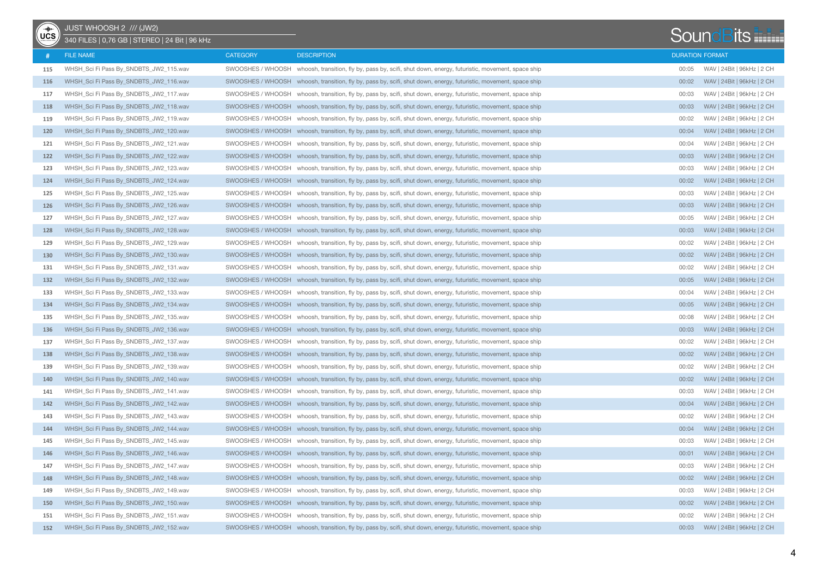| $\overline{\mathsf{UCS}}$ | JUST WHOOSH 2 /// (JW2)<br>340 FILES   0,76 GB   STEREO   24 Bit   96 kHz |                   |                                                                                                                   |       | <b>SoundBits</b>           |
|---------------------------|---------------------------------------------------------------------------|-------------------|-------------------------------------------------------------------------------------------------------------------|-------|----------------------------|
|                           | <b>FILE NAME</b>                                                          | <b>CATEGORY</b>   | <b>DESCRIPTION</b>                                                                                                |       | <b>DURATION FORMAT</b>     |
| 115                       | WHSH_Sci Fi Pass By_SNDBTS_JW2_115.wav                                    |                   | SWOOSHES / WHOOSH whoosh, transition, fly by, pass by, scifi, shut down, energy, futuristic, movement, space ship | 00:05 | WAV   24Bit   96kHz   2 CH |
| 116                       | WHSH_Sci Fi Pass By_SNDBTS_JW2_116.wav                                    |                   | SWOOSHES / WHOOSH whoosh, transition, fly by, pass by, scifi, shut down, energy, futuristic, movement, space ship | 00:02 | WAV   24Bit   96kHz   2 CH |
| 117                       | WHSH_Sci Fi Pass By_SNDBTS_JW2_117.wav                                    |                   | SWOOSHES / WHOOSH whoosh, transition, fly by, pass by, scifi, shut down, energy, futuristic, movement, space ship | 00:03 | WAV   24Bit   96kHz   2 CH |
| 118                       | WHSH_Sci Fi Pass By_SNDBTS_JW2_118.wav                                    |                   | SWOOSHES / WHOOSH whoosh, transition, fly by, pass by, scifi, shut down, energy, futuristic, movement, space ship | 00:03 | WAV   24Bit   96kHz   2 CH |
| 119                       | WHSH_Sci Fi Pass By_SNDBTS_JW2_119.wav                                    | SWOOSHES / WHOOSH | whoosh, transition, fly by, pass by, scifi, shut down, energy, futuristic, movement, space ship                   | 00:02 | WAV   24Bit   96kHz   2 CH |
| 120                       | WHSH Sci Fi Pass By SNDBTS JW2 120.wav                                    |                   | SWOOSHES / WHOOSH whoosh, transition, fly by, pass by, scifi, shut down, energy, futuristic, movement, space ship | 00:04 | WAV   24Bit   96kHz   2 CH |
| 121                       | WHSH_Sci Fi Pass By_SNDBTS_JW2_121.wav                                    |                   | SWOOSHES / WHOOSH whoosh, transition, fly by, pass by, scifi, shut down, energy, futuristic, movement, space ship | 00:04 | WAV   24Bit   96kHz   2 CH |
| 122                       | WHSH_Sci Fi Pass By_SNDBTS_JW2_122.wav                                    |                   | SWOOSHES / WHOOSH whoosh, transition, fly by, pass by, scifi, shut down, energy, futuristic, movement, space ship | 00:03 | WAV   24Bit   96kHz   2 CH |
| 123                       | WHSH_Sci Fi Pass By_SNDBTS_JW2_123.wav                                    |                   | SWOOSHES / WHOOSH whoosh, transition, fly by, pass by, scifi, shut down, energy, futuristic, movement, space ship | 00:03 | WAV   24Bit   96kHz   2 CH |
| 124                       | WHSH_Sci Fi Pass By_SNDBTS_JW2_124.wav                                    |                   | SWOOSHES / WHOOSH whoosh, transition, fly by, pass by, scifi, shut down, energy, futuristic, movement, space ship | 00:02 | WAV   24Bit   96kHz   2 CH |
| 125                       | WHSH_Sci Fi Pass By_SNDBTS_JW2_125.wav                                    |                   | SWOOSHES / WHOOSH whoosh, transition, fly by, pass by, scifi, shut down, energy, futuristic, movement, space ship | 00:03 | WAV   24Bit   96kHz   2 CH |
| 126                       | WHSH_Sci Fi Pass By_SNDBTS_JW2_126.wav                                    |                   | SWOOSHES / WHOOSH whoosh, transition, fly by, pass by, scifi, shut down, energy, futuristic, movement, space ship | 00:03 | WAV   24Bit   96kHz   2 CH |
| 127                       | WHSH_Sci Fi Pass By_SNDBTS_JW2_127.wav                                    |                   | SWOOSHES / WHOOSH whoosh, transition, fly by, pass by, scifi, shut down, energy, futuristic, movement, space ship | 00:05 | WAV   24Bit   96kHz   2 CH |
| 128                       | WHSH_Sci Fi Pass By_SNDBTS_JW2_128.wav                                    |                   | SWOOSHES / WHOOSH whoosh, transition, fly by, pass by, scifi, shut down, energy, futuristic, movement, space ship | 00:03 | WAV   24Bit   96kHz   2 CH |
| 129                       | WHSH_Sci Fi Pass By_SNDBTS_JW2_129.wav                                    |                   | SWOOSHES / WHOOSH whoosh, transition, fly by, pass by, scifi, shut down, energy, futuristic, movement, space ship | 00:02 | WAV   24Bit   96kHz   2 CH |
| 130                       | WHSH_Sci Fi Pass By_SNDBTS_JW2_130.wav                                    |                   | SWOOSHES / WHOOSH whoosh, transition, fly by, pass by, scifi, shut down, energy, futuristic, movement, space ship | 00:02 | WAV   24Bit   96kHz   2 CH |
| 131                       | WHSH_Sci Fi Pass By_SNDBTS_JW2_131.wav                                    |                   | SWOOSHES / WHOOSH whoosh, transition, fly by, pass by, scifi, shut down, energy, futuristic, movement, space ship | 00:02 | WAV   24Bit   96kHz   2 CH |
| 132                       | WHSH_Sci Fi Pass By_SNDBTS_JW2_132.wav                                    |                   | SWOOSHES / WHOOSH whoosh, transition, fly by, pass by, scifi, shut down, energy, futuristic, movement, space ship | 00:05 | WAV   24Bit   96kHz   2 CH |
| 133                       | WHSH_Sci Fi Pass By_SNDBTS_JW2_133.wav                                    |                   | SWOOSHES / WHOOSH whoosh, transition, fly by, pass by, scifi, shut down, energy, futuristic, movement, space ship | 00:04 | WAV   24Bit   96kHz   2 CH |
| 134                       | WHSH_Sci Fi Pass By_SNDBTS_JW2_134.wav                                    |                   | SWOOSHES / WHOOSH whoosh, transition, fly by, pass by, scifi, shut down, energy, futuristic, movement, space ship | 00:05 | WAV   24Bit   96kHz   2 CH |
| 135                       | WHSH_Sci Fi Pass By_SNDBTS_JW2_135.wav                                    | SWOOSHES / WHOOSH | whoosh, transition, fly by, pass by, scifi, shut down, energy, futuristic, movement, space ship                   | 00:08 | WAV   24Bit   96kHz   2 CH |
| 136                       | WHSH_Sci Fi Pass By_SNDBTS_JW2_136.wav                                    |                   | SWOOSHES / WHOOSH whoosh, transition, fly by, pass by, scifi, shut down, energy, futuristic, movement, space ship | 00:03 | WAV   24Bit   96kHz   2 CH |
| 137                       | WHSH_Sci Fi Pass By_SNDBTS_JW2_137.wav                                    |                   | SWOOSHES / WHOOSH whoosh, transition, fly by, pass by, scifi, shut down, energy, futuristic, movement, space ship | 00:02 | WAV   24Bit   96kHz   2 CH |
| 138                       | WHSH_Sci Fi Pass By_SNDBTS_JW2_138.wav                                    |                   | SWOOSHES / WHOOSH whoosh, transition, fly by, pass by, scifi, shut down, energy, futuristic, movement, space ship | 00:02 | WAV   24Bit   96kHz   2 CH |
| 139                       | WHSH_Sci Fi Pass By_SNDBTS_JW2_139.wav                                    |                   | SWOOSHES / WHOOSH whoosh, transition, fly by, pass by, scifi, shut down, energy, futuristic, movement, space ship | 00:02 | WAV   24Bit   96kHz   2 CH |
| 140                       | WHSH_Sci Fi Pass By_SNDBTS_JW2_140.wav                                    |                   | SWOOSHES / WHOOSH whoosh, transition, fly by, pass by, scifi, shut down, energy, futuristic, movement, space ship | 00:02 | WAV   24Bit   96kHz   2 CH |
| 141                       | WHSH_Sci Fi Pass By_SNDBTS_JW2_141.wav                                    |                   | SWOOSHES / WHOOSH whoosh, transition, fly by, pass by, scifi, shut down, energy, futuristic, movement, space ship | 00:03 | WAV   24Bit   96kHz   2 CH |
| 142                       | WHSH_Sci Fi Pass By_SNDBTS_JW2_142.wav                                    |                   | SWOOSHES / WHOOSH whoosh, transition, fly by, pass by, scifi, shut down, energy, futuristic, movement, space ship | 00:04 | WAV   24Bit   96kHz   2 CH |
| 143                       | WHSH_Sci Fi Pass By_SNDBTS_JW2_143.wav                                    |                   | SWOOSHES / WHOOSH whoosh, transition, fly by, pass by, scifi, shut down, energy, futuristic, movement, space ship | 00:02 | WAV   24Bit   96kHz   2 CH |
| 144                       | WHSH_Sci Fi Pass By_SNDBTS_JW2_144.wav                                    |                   | SWOOSHES / WHOOSH whoosh, transition, fly by, pass by, scifi, shut down, energy, futuristic, movement, space ship | 00:04 | WAV   24Bit   96kHz   2 CH |
| 145                       | WHSH Sci Fi Pass By SNDBTS JW2 145.wav                                    |                   | SWOOSHES / WHOOSH whoosh, transition, fly by, pass by, scifi, shut down, energy, futuristic, movement, space ship | 00:03 | WAV   24Bit   96kHz   2 CH |
| 146                       | WHSH Sci Fi Pass By SNDBTS JW2 146.wav                                    |                   | SWOOSHES / WHOOSH whoosh, transition, fly by, pass by, scifi, shut down, energy, futuristic, movement, space ship | 00:01 | WAV   24Bit   96kHz   2 CH |
| 147                       | WHSH_Sci Fi Pass By_SNDBTS_JW2_147.wav                                    |                   | SWOOSHES / WHOOSH whoosh, transition, fly by, pass by, scifi, shut down, energy, futuristic, movement, space ship | 00:03 | WAV   24Bit   96kHz   2 CH |
| 148                       | WHSH_Sci Fi Pass By_SNDBTS_JW2_148.wav                                    |                   | SWOOSHES / WHOOSH whoosh, transition, fly by, pass by, scifi, shut down, energy, futuristic, movement, space ship | 00:02 | WAV   24Bit   96kHz   2 CH |
| 149                       | WHSH_Sci Fi Pass By_SNDBTS_JW2_149.wav                                    |                   | SWOOSHES / WHOOSH whoosh, transition, fly by, pass by, scifi, shut down, energy, futuristic, movement, space ship | 00:03 | WAV   24Bit   96kHz   2 CH |
| 150                       | WHSH_Sci Fi Pass By_SNDBTS_JW2_150.wav                                    |                   | SWOOSHES / WHOOSH whoosh, transition, fly by, pass by, scifi, shut down, energy, futuristic, movement, space ship | 00:02 | WAV   24Bit   96kHz   2 CH |
| 151                       | WHSH_Sci Fi Pass By_SNDBTS_JW2_151.wav                                    |                   | SWOOSHES / WHOOSH whoosh, transition, fly by, pass by, scifi, shut down, energy, futuristic, movement, space ship | 00:02 | WAV   24Bit   96kHz   2 CH |
| 152                       | WHSH_Sci Fi Pass By_SNDBTS_JW2_152.wav                                    |                   | SWOOSHES / WHOOSH whoosh, transition, fly by, pass by, scifi, shut down, energy, futuristic, movement, space ship | 00:03 | WAV   24Bit   96kHz   2 CH |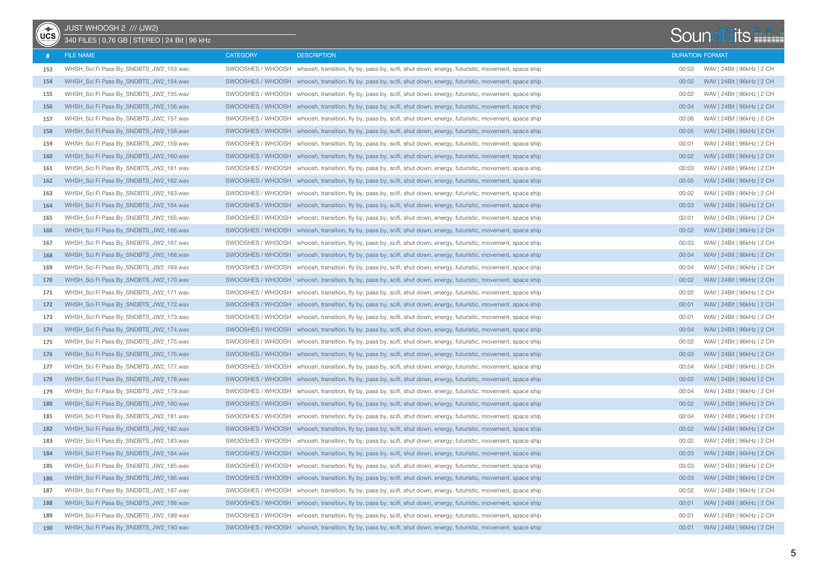| $\overline{\mathsf{UCS}}$ | JUST WHOOSH 2 /// (JW2)<br>340 FILES   0,76 GB   STEREO   24 Bit   96 kHz |                   |                                                                                                                   |       | <b>SoundBits</b>           |
|---------------------------|---------------------------------------------------------------------------|-------------------|-------------------------------------------------------------------------------------------------------------------|-------|----------------------------|
|                           | <b>FILE NAME</b>                                                          | <b>CATEGORY</b>   | <b>DESCRIPTION</b>                                                                                                |       | <b>DURATION FORMAT</b>     |
| 153                       | WHSH_Sci Fi Pass By_SNDBTS_JW2_153.wav                                    |                   | SWOOSHES / WHOOSH whoosh, transition, fly by, pass by, scifi, shut down, energy, futuristic, movement, space ship | 00:03 | WAV   24Bit   96kHz   2 CH |
| 154                       | WHSH_Sci Fi Pass By_SNDBTS_JW2_154.wav                                    |                   | SWOOSHES / WHOOSH whoosh, transition, fly by, pass by, scifi, shut down, energy, futuristic, movement, space ship | 00:02 | WAV   24Bit   96kHz   2 CH |
| 155                       | WHSH_Sci Fi Pass By_SNDBTS_JW2_155.wav                                    |                   | SWOOSHES / WHOOSH whoosh, transition, fly by, pass by, scifi, shut down, energy, futuristic, movement, space ship | 00:02 | WAV   24Bit   96kHz   2 CH |
| 156                       | WHSH_Sci Fi Pass By_SNDBTS_JW2_156.wav                                    |                   | SWOOSHES / WHOOSH whoosh, transition, fly by, pass by, scifi, shut down, energy, futuristic, movement, space ship | 00:04 | WAV   24Bit   96kHz   2 CH |
| 157                       | WHSH_Sci Fi Pass By_SNDBTS_JW2_157.wav                                    | SWOOSHES / WHOOSH | whoosh, transition, fly by, pass by, scifi, shut down, energy, futuristic, movement, space ship                   | 00:06 | WAV   24Bit   96kHz   2 CH |
| 158                       | WHSH Sci Fi Pass By SNDBTS JW2 158.wav                                    |                   | SWOOSHES / WHOOSH whoosh, transition, fly by, pass by, scifi, shut down, energy, futuristic, movement, space ship | 00:05 | WAV   24Bit   96kHz   2 CH |
| 159                       | WHSH_Sci Fi Pass By_SNDBTS_JW2_159.wav                                    |                   | SWOOSHES / WHOOSH whoosh, transition, fly by, pass by, scifi, shut down, energy, futuristic, movement, space ship | 00:01 | WAV   24Bit   96kHz   2 CH |
| 160                       | WHSH_Sci Fi Pass By_SNDBTS_JW2_160.wav                                    |                   | SWOOSHES / WHOOSH whoosh, transition, fly by, pass by, scifi, shut down, energy, futuristic, movement, space ship | 00:02 | WAV   24Bit   96kHz   2 CH |
| 161                       | WHSH_Sci Fi Pass By_SNDBTS_JW2_161.wav                                    |                   | SWOOSHES / WHOOSH whoosh, transition, fly by, pass by, scifi, shut down, energy, futuristic, movement, space ship | 00:03 | WAV   24Bit   96kHz   2 CH |
| 162                       | WHSH_Sci Fi Pass By_SNDBTS_JW2_162.wav                                    |                   | SWOOSHES / WHOOSH whoosh, transition, fly by, pass by, scifi, shut down, energy, futuristic, movement, space ship | 00:05 | WAV   24Bit   96kHz   2 CH |
| 163                       | WHSH_Sci Fi Pass By_SNDBTS_JW2_163.wav                                    |                   | SWOOSHES / WHOOSH whoosh, transition, fly by, pass by, scifi, shut down, energy, futuristic, movement, space ship | 00:02 | WAV   24Bit   96kHz   2 CH |
| 164                       | WHSH_Sci Fi Pass By_SNDBTS_JW2_164.wav                                    |                   | SWOOSHES / WHOOSH whoosh, transition, fly by, pass by, scifi, shut down, energy, futuristic, movement, space ship | 00:03 | WAV   24Bit   96kHz   2 CH |
| 165                       | WHSH_Sci Fi Pass By_SNDBTS_JW2_165.wav                                    |                   | SWOOSHES / WHOOSH whoosh, transition, fly by, pass by, scifi, shut down, energy, futuristic, movement, space ship | 00:01 | WAV   24Bit   96kHz   2 CH |
| 166                       | WHSH_Sci Fi Pass By_SNDBTS_JW2_166.wav                                    |                   | SWOOSHES / WHOOSH whoosh, transition, fly by, pass by, scifi, shut down, energy, futuristic, movement, space ship | 00:02 | WAV   24Bit   96kHz   2 CH |
| 167                       | WHSH_Sci Fi Pass By_SNDBTS_JW2_167.wav                                    |                   | SWOOSHES / WHOOSH whoosh, transition, fly by, pass by, scifi, shut down, energy, futuristic, movement, space ship | 00:03 | WAV   24Bit   96kHz   2 CH |
| 168                       | WHSH Sci Fi Pass By SNDBTS JW2 168.wav                                    |                   | SWOOSHES / WHOOSH whoosh, transition, fly by, pass by, scifi, shut down, energy, futuristic, movement, space ship | 00:04 | WAV   24Bit   96kHz   2 CH |
| 169                       | WHSH_Sci Fi Pass By_SNDBTS_JW2_169.wav                                    |                   | SWOOSHES / WHOOSH whoosh, transition, fly by, pass by, scifi, shut down, energy, futuristic, movement, space ship | 00:04 | WAV   24Bit   96kHz   2 CH |
| 170                       | WHSH_Sci Fi Pass By_SNDBTS_JW2_170.wav                                    |                   | SWOOSHES / WHOOSH whoosh, transition, fly by, pass by, scifi, shut down, energy, futuristic, movement, space ship | 00:02 | WAV   24Bit   96kHz   2 CH |
| 171                       | WHSH_Sci Fi Pass By_SNDBTS_JW2_171.wav                                    |                   | SWOOSHES / WHOOSH whoosh, transition, fly by, pass by, scifi, shut down, energy, futuristic, movement, space ship | 00:02 | WAV   24Bit   96kHz   2 CH |
| 172                       | WHSH_Sci Fi Pass By_SNDBTS_JW2_172.wav                                    |                   | SWOOSHES / WHOOSH whoosh, transition, fly by, pass by, scifi, shut down, energy, futuristic, movement, space ship | 00:01 | WAV   24Bit   96kHz   2 CH |
| 173                       | WHSH_Sci Fi Pass By_SNDBTS_JW2_173.wav                                    | SWOOSHES / WHOOSH | whoosh, transition, fly by, pass by, scifi, shut down, energy, futuristic, movement, space ship                   | 00:01 | WAV   24Bit   96kHz   2 CH |
| 174                       | WHSH_Sci Fi Pass By_SNDBTS_JW2_174.wav                                    |                   | SWOOSHES / WHOOSH whoosh, transition, fly by, pass by, scifi, shut down, energy, futuristic, movement, space ship | 00:04 | WAV   24Bit   96kHz   2 CH |
| 175                       | WHSH_Sci Fi Pass By_SNDBTS_JW2_175.wav                                    |                   | SWOOSHES / WHOOSH whoosh, transition, fly by, pass by, scifi, shut down, energy, futuristic, movement, space ship | 00:02 | WAV   24Bit   96kHz   2 CH |
| 176                       | WHSH_Sci Fi Pass By_SNDBTS_JW2_176.wav                                    |                   | SWOOSHES / WHOOSH whoosh, transition, fly by, pass by, scifi, shut down, energy, futuristic, movement, space ship | 00:03 | WAV   24Bit   96kHz   2 CH |
| 177                       | WHSH_Sci Fi Pass By_SNDBTS_JW2_177.wav                                    |                   | SWOOSHES / WHOOSH whoosh, transition, fly by, pass by, scifi, shut down, energy, futuristic, movement, space ship | 00:04 | WAV   24Bit   96kHz   2 CH |
| 178                       | WHSH_Sci Fi Pass By_SNDBTS_JW2_178.wav                                    |                   | SWOOSHES / WHOOSH whoosh, transition, fly by, pass by, scifi, shut down, energy, futuristic, movement, space ship | 00:02 | WAV   24Bit   96kHz   2 CH |
| 179                       | WHSH_Sci Fi Pass By_SNDBTS_JW2_179.wav                                    |                   | SWOOSHES / WHOOSH whoosh, transition, fly by, pass by, scifi, shut down, energy, futuristic, movement, space ship | 00:04 | WAV   24Bit   96kHz   2 CH |
| 180                       | WHSH_Sci Fi Pass By_SNDBTS_JW2_180.wav                                    |                   | SWOOSHES / WHOOSH whoosh, transition, fly by, pass by, scifi, shut down, energy, futuristic, movement, space ship | 00:02 | WAV   24Bit   96kHz   2 CH |
| 181                       | WHSH_Sci Fi Pass By_SNDBTS_JW2_181.wav                                    |                   | SWOOSHES / WHOOSH whoosh, transition, fly by, pass by, scifi, shut down, energy, futuristic, movement, space ship | 00:04 | WAV   24Bit   96kHz   2 CH |
| 182                       | WHSH_Sci Fi Pass By_SNDBTS_JW2_182.wav                                    |                   | SWOOSHES / WHOOSH whoosh, transition, fly by, pass by, scifi, shut down, energy, futuristic, movement, space ship | 00:02 | WAV   24Bit   96kHz   2 CH |
| 183                       | WHSH_Sci Fi Pass By_SNDBTS_JW2_183.wav                                    |                   | SWOOSHES / WHOOSH whoosh, transition, fly by, pass by, scifi, shut down, energy, futuristic, movement, space ship | 00:02 | WAV   24Bit   96kHz   2 CH |
| 184                       | WHSH Sci Fi Pass By SNDBTS JW2 184.wav                                    |                   | SWOOSHES / WHOOSH whoosh, transition, fly by, pass by, scifi, shut down, energy, futuristic, movement, space ship | 00:03 | WAV   24Bit   96kHz   2 CH |
| 185                       | WHSH_Sci Fi Pass By_SNDBTS_JW2_185.wav                                    |                   | SWOOSHES / WHOOSH whoosh, transition, fly by, pass by, scifi, shut down, energy, futuristic, movement, space ship | 00:03 | WAV   24Bit   96kHz   2 CH |
| 186                       | WHSH_Sci Fi Pass By_SNDBTS_JW2_186.wav                                    |                   | SWOOSHES / WHOOSH whoosh, transition, fly by, pass by, scifi, shut down, energy, futuristic, movement, space ship | 00:03 | WAV   24Bit   96kHz   2 CH |
| 187                       | WHSH_Sci Fi Pass By_SNDBTS_JW2_187.wav                                    |                   | SWOOSHES / WHOOSH whoosh, transition, fly by, pass by, scifi, shut down, energy, futuristic, movement, space ship | 00:02 | WAV   24Bit   96kHz   2 CH |
| 188                       | WHSH_Sci Fi Pass By_SNDBTS_JW2_188.wav                                    |                   | SWOOSHES / WHOOSH whoosh, transition, fly by, pass by, scifi, shut down, energy, futuristic, movement, space ship | 00:01 | WAV   24Bit   96kHz   2 CH |
| 189                       | WHSH_Sci Fi Pass By_SNDBTS_JW2_189.wav                                    |                   | SWOOSHES / WHOOSH whoosh, transition, fly by, pass by, scifi, shut down, energy, futuristic, movement, space ship | 00:01 | WAV   24Bit   96kHz   2 CH |
| 190                       | WHSH_Sci Fi Pass By_SNDBTS_JW2_190.wav                                    |                   | SWOOSHES / WHOOSH whoosh, transition, fly by, pass by, scifi, shut down, energy, futuristic, movement, space ship | 00:01 | WAV   24Bit   96kHz   2 CH |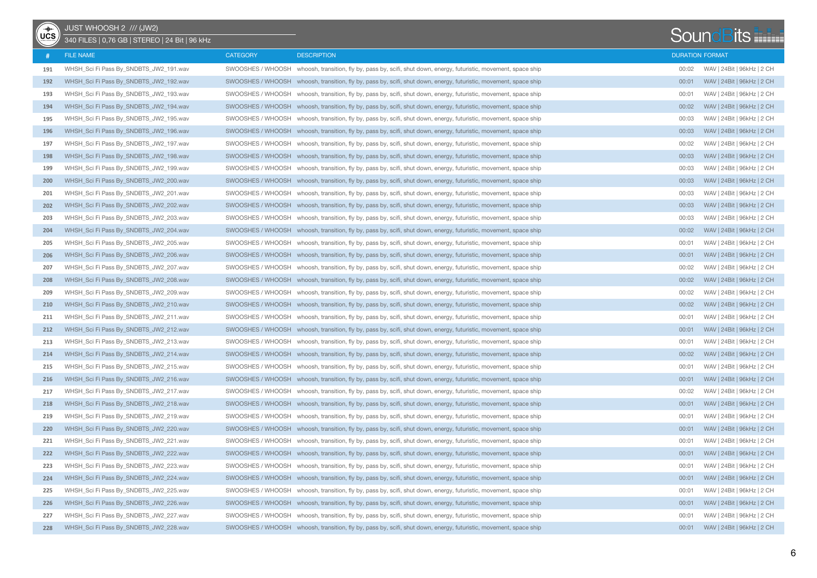| $\overline{\mathsf{UCS}}$ | JUST WHOOSH 2 /// (JW2)<br>340 FILES   0.76 GB   STEREO   24 Bit   96 kHz |                   |                                                                                                                   |       | <b>SoundBits</b>           |
|---------------------------|---------------------------------------------------------------------------|-------------------|-------------------------------------------------------------------------------------------------------------------|-------|----------------------------|
|                           | <b>FILE NAME</b>                                                          | <b>CATEGORY</b>   | <b>DESCRIPTION</b>                                                                                                |       | <b>DURATION FORMAT</b>     |
| 191                       | WHSH_Sci Fi Pass By_SNDBTS_JW2_191.wav                                    | SWOOSHES / WHOOSH | whoosh, transition, fly by, pass by, scifi, shut down, energy, futuristic, movement, space ship                   | 00:02 | WAV   24Bit   96kHz   2 CH |
| 192                       | WHSH_Sci Fi Pass By_SNDBTS_JW2_192.wav                                    |                   | SWOOSHES / WHOOSH whoosh, transition, fly by, pass by, scifi, shut down, energy, futuristic, movement, space ship | 00:01 | WAV   24Bit   96kHz   2 CH |
| 193                       | WHSH_Sci Fi Pass By_SNDBTS_JW2_193.wav                                    |                   | SWOOSHES / WHOOSH whoosh, transition, fly by, pass by, scifi, shut down, energy, futuristic, movement, space ship | 00:01 | WAV   24Bit   96kHz   2 CH |
| 194                       | WHSH_Sci Fi Pass By_SNDBTS_JW2_194.wav                                    |                   | SWOOSHES / WHOOSH whoosh, transition, fly by, pass by, scifi, shut down, energy, futuristic, movement, space ship | 00:02 | WAV   24Bit   96kHz   2 CH |
| 195                       | WHSH_Sci Fi Pass By_SNDBTS_JW2_195.wav                                    | SWOOSHES / WHOOSH | whoosh, transition, fly by, pass by, scifi, shut down, energy, futuristic, movement, space ship                   | 00:03 | WAV   24Bit   96kHz   2 CH |
| 196                       | WHSH Sci Fi Pass By SNDBTS JW2 196.wav                                    |                   | SWOOSHES / WHOOSH whoosh, transition, fly by, pass by, scifi, shut down, energy, futuristic, movement, space ship | 00:03 | WAV   24Bit   96kHz   2 CH |
| 197                       | WHSH_Sci Fi Pass By_SNDBTS_JW2_197.wav                                    |                   | SWOOSHES / WHOOSH whoosh, transition, fly by, pass by, scifi, shut down, energy, futuristic, movement, space ship | 00:02 | WAV   24Bit   96kHz   2 CH |
| 198                       | WHSH_Sci Fi Pass By_SNDBTS_JW2_198.wav                                    |                   | SWOOSHES / WHOOSH whoosh, transition, fly by, pass by, scifi, shut down, energy, futuristic, movement, space ship | 00:03 | WAV   24Bit   96kHz   2 CH |
| 199                       | WHSH_Sci Fi Pass By_SNDBTS_JW2_199.wav                                    |                   | SWOOSHES / WHOOSH whoosh, transition, fly by, pass by, scifi, shut down, energy, futuristic, movement, space ship | 00:03 | WAV   24Bit   96kHz   2 CH |
| 200                       | WHSH_Sci Fi Pass By_SNDBTS_JW2_200.wav                                    |                   | SWOOSHES / WHOOSH whoosh, transition, fly by, pass by, scifi, shut down, energy, futuristic, movement, space ship | 00:03 | WAV   24Bit   96kHz   2 CH |
| 201                       | WHSH_Sci Fi Pass By_SNDBTS_JW2_201.wav                                    |                   | SWOOSHES / WHOOSH whoosh, transition, fly by, pass by, scifi, shut down, energy, futuristic, movement, space ship | 00:03 | WAV   24Bit   96kHz   2 CH |
| 202                       | WHSH_Sci Fi Pass By_SNDBTS_JW2_202.wav                                    |                   | SWOOSHES / WHOOSH whoosh, transition, fly by, pass by, scifi, shut down, energy, futuristic, movement, space ship | 00:03 | WAV   24Bit   96kHz   2 CH |
| 203                       | WHSH Sci Fi Pass By SNDBTS JW2 203.wav                                    |                   | SWOOSHES / WHOOSH whoosh, transition, fly by, pass by, scifi, shut down, energy, futuristic, movement, space ship | 00:03 | WAV   24Bit   96kHz   2 CH |
| 204                       | WHSH_Sci Fi Pass By_SNDBTS_JW2_204.wav                                    |                   | SWOOSHES / WHOOSH whoosh, transition, fly by, pass by, scifi, shut down, energy, futuristic, movement, space ship | 00:02 | WAV   24Bit   96kHz   2 CH |
| 205                       | WHSH_Sci Fi Pass By_SNDBTS_JW2_205.wav                                    |                   | SWOOSHES / WHOOSH whoosh, transition, fly by, pass by, scifi, shut down, energy, futuristic, movement, space ship | 00:01 | WAV   24Bit   96kHz   2 CH |
| 206                       | WHSH_Sci Fi Pass By_SNDBTS_JW2_206.wav                                    |                   | SWOOSHES / WHOOSH whoosh, transition, fly by, pass by, scifi, shut down, energy, futuristic, movement, space ship | 00:01 | WAV   24Bit   96kHz   2 CH |
| 207                       | WHSH_Sci Fi Pass By_SNDBTS_JW2_207.wav                                    |                   | SWOOSHES / WHOOSH whoosh, transition, fly by, pass by, scifi, shut down, energy, futuristic, movement, space ship | 00:02 | WAV   24Bit   96kHz   2 CH |
| 208                       | WHSH Sci Fi Pass By SNDBTS JW2 208.wav                                    |                   | SWOOSHES / WHOOSH whoosh, transition, fly by, pass by, scifi, shut down, energy, futuristic, movement, space ship | 00:02 | WAV   24Bit   96kHz   2 CH |
| 209                       | WHSH Sci Fi Pass By SNDBTS JW2 209.wav                                    |                   | SWOOSHES / WHOOSH whoosh, transition, fly by, pass by, scifi, shut down, energy, futuristic, movement, space ship | 00:02 | WAV   24Bit   96kHz   2 CH |
| 210                       | WHSH_Sci Fi Pass By_SNDBTS_JW2_210.wav                                    |                   | SWOOSHES / WHOOSH whoosh, transition, fly by, pass by, scifi, shut down, energy, futuristic, movement, space ship | 00:02 | WAV   24Bit   96kHz   2 CH |
| 211                       | WHSH_Sci Fi Pass By_SNDBTS_JW2_211.wav                                    | SWOOSHES / WHOOSH | whoosh, transition, fly by, pass by, scifi, shut down, energy, futuristic, movement, space ship                   | 00:01 | WAV   24Bit   96kHz   2 CH |
| 212                       | WHSH_Sci Fi Pass By_SNDBTS_JW2_212.wav                                    |                   | SWOOSHES / WHOOSH whoosh, transition, fly by, pass by, scifi, shut down, energy, futuristic, movement, space ship | 00:01 | WAV   24Bit   96kHz   2 CH |
| 213                       | WHSH_Sci Fi Pass By_SNDBTS_JW2_213.wav                                    |                   | SWOOSHES / WHOOSH whoosh, transition, fly by, pass by, scifi, shut down, energy, futuristic, movement, space ship | 00:01 | WAV   24Bit   96kHz   2 CH |
| 214                       | WHSH_Sci Fi Pass By_SNDBTS_JW2_214.wav                                    |                   | SWOOSHES / WHOOSH whoosh, transition, fly by, pass by, scifi, shut down, energy, futuristic, movement, space ship | 00:02 | WAV   24Bit   96kHz   2 CH |
| 215                       | WHSH_Sci Fi Pass By_SNDBTS_JW2_215.wav                                    |                   | SWOOSHES / WHOOSH whoosh, transition, fly by, pass by, scifi, shut down, energy, futuristic, movement, space ship | 00:01 | WAV   24Bit   96kHz   2 CH |
| 216                       | WHSH_Sci Fi Pass By_SNDBTS_JW2_216.wav                                    |                   | SWOOSHES / WHOOSH whoosh, transition, fly by, pass by, scifi, shut down, energy, futuristic, movement, space ship | 00:01 | WAV   24Bit   96kHz   2 CH |
| 217                       | WHSH_Sci Fi Pass By_SNDBTS_JW2_217.wav                                    |                   | SWOOSHES / WHOOSH whoosh, transition, fly by, pass by, scifi, shut down, energy, futuristic, movement, space ship | 00:02 | WAV   24Bit   96kHz   2 CH |
| 218                       | WHSH_Sci Fi Pass By_SNDBTS_JW2_218.wav                                    |                   | SWOOSHES / WHOOSH whoosh, transition, fly by, pass by, scifi, shut down, energy, futuristic, movement, space ship | 00:01 | WAV   24Bit   96kHz   2 CH |
| 219                       | WHSH_Sci Fi Pass By_SNDBTS_JW2_219.wav                                    |                   | SWOOSHES / WHOOSH whoosh, transition, fly by, pass by, scifi, shut down, energy, futuristic, movement, space ship | 00:01 | WAV   24Bit   96kHz   2 CH |
| 220                       | WHSH Sci Fi Pass By SNDBTS JW2 220.wav                                    |                   | SWOOSHES / WHOOSH whoosh, transition, fly by, pass by, scifi, shut down, energy, futuristic, movement, space ship | 00:01 | WAV   24Bit   96kHz   2 CH |
| 221                       | WHSH_Sci Fi Pass By_SNDBTS_JW2_221.wav                                    |                   | SWOOSHES / WHOOSH whoosh, transition, fly by, pass by, scifi, shut down, energy, futuristic, movement, space ship | 00:01 | WAV   24Bit   96kHz   2 CH |
| 222                       | WHSH Sci Fi Pass By SNDBTS JW2 222.wav                                    |                   | SWOOSHES / WHOOSH whoosh, transition, fly by, pass by, scifi, shut down, energy, futuristic, movement, space ship | 00:01 | WAV   24Bit   96kHz   2 CH |
| 223                       | WHSH_Sci Fi Pass By_SNDBTS_JW2_223.wav                                    |                   | SWOOSHES / WHOOSH whoosh, transition, fly by, pass by, scifi, shut down, energy, futuristic, movement, space ship | 00:01 | WAV   24Bit   96kHz   2 CH |
| 224                       | WHSH_Sci Fi Pass By_SNDBTS_JW2_224.wav                                    |                   | SWOOSHES / WHOOSH whoosh, transition, fly by, pass by, scifi, shut down, energy, futuristic, movement, space ship | 00:01 | WAV   24Bit   96kHz   2 CH |
| 225                       | WHSH_Sci Fi Pass By_SNDBTS_JW2_225.wav                                    |                   | SWOOSHES / WHOOSH whoosh, transition, fly by, pass by, scifi, shut down, energy, futuristic, movement, space ship | 00:01 | WAV   24Bit   96kHz   2 CH |
| 226                       | WHSH_Sci Fi Pass By_SNDBTS_JW2_226.wav                                    |                   | SWOOSHES / WHOOSH whoosh, transition, fly by, pass by, scifi, shut down, energy, futuristic, movement, space ship | 00:01 | WAV   24Bit   96kHz   2 CH |
| 227                       | WHSH_Sci Fi Pass By_SNDBTS_JW2_227.wav                                    |                   | SWOOSHES / WHOOSH whoosh, transition, fly by, pass by, scifi, shut down, energy, futuristic, movement, space ship | 00:01 | WAV   24Bit   96kHz   2 CH |
| 228                       | WHSH_Sci Fi Pass By_SNDBTS_JW2_228.wav                                    |                   | SWOOSHES / WHOOSH whoosh, transition, fly by, pass by, scifi, shut down, energy, futuristic, movement, space ship | 00:01 | WAV   24Bit   96kHz   2 CH |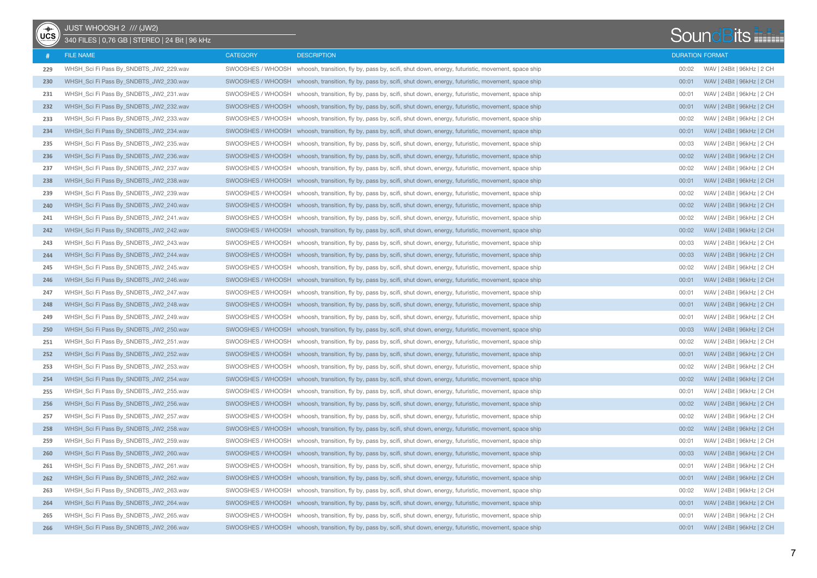| $\overline{UCS}$ | JUST WHOOSH 2 /// (JW2)<br>340 FILES   0,76 GB   STEREO   24 Bit   96 kHz |                   |                                                                                                                   |       | <b>SoundBits</b>           |
|------------------|---------------------------------------------------------------------------|-------------------|-------------------------------------------------------------------------------------------------------------------|-------|----------------------------|
|                  | <b>FILE NAME</b>                                                          | <b>CATEGORY</b>   | <b>DESCRIPTION</b>                                                                                                |       | <b>DURATION FORMAT</b>     |
| 229              | WHSH_Sci Fi Pass By_SNDBTS_JW2_229.wav                                    | SWOOSHES / WHOOSH | whoosh, transition, fly by, pass by, scifi, shut down, energy, futuristic, movement, space ship                   | 00:02 | WAV   24Bit   96kHz   2 CH |
| 230              | WHSH_Sci Fi Pass By_SNDBTS_JW2_230.wav                                    |                   | SWOOSHES / WHOOSH whoosh, transition, fly by, pass by, scifi, shut down, energy, futuristic, movement, space ship | 00:01 | WAV   24Bit   96kHz   2 CH |
| 231              | WHSH_Sci Fi Pass By_SNDBTS_JW2_231.wav                                    |                   | SWOOSHES / WHOOSH whoosh, transition, fly by, pass by, scifi, shut down, energy, futuristic, movement, space ship | 00:01 | WAV   24Bit   96kHz   2 CH |
| 232              | WHSH_Sci Fi Pass By_SNDBTS_JW2_232.wav                                    |                   | SWOOSHES / WHOOSH whoosh, transition, fly by, pass by, scifi, shut down, energy, futuristic, movement, space ship | 00:01 | WAV   24Bit   96kHz   2 CH |
| 233              | WHSH Sci Fi Pass By SNDBTS JW2 233.wav                                    | SWOOSHES / WHOOSH | whoosh, transition, fly by, pass by, scifi, shut down, energy, futuristic, movement, space ship                   | 00:02 | WAV   24Bit   96kHz   2 CH |
| 234              | WHSH Sci Fi Pass By SNDBTS JW2 234.wav                                    |                   | SWOOSHES / WHOOSH whoosh, transition, fly by, pass by, scifi, shut down, energy, futuristic, movement, space ship | 00:01 | WAV   24Bit   96kHz   2 CH |
| 235              | WHSH_Sci Fi Pass By_SNDBTS_JW2_235.wav                                    |                   | SWOOSHES / WHOOSH whoosh, transition, fly by, pass by, scifi, shut down, energy, futuristic, movement, space ship | 00:03 | WAV   24Bit   96kHz   2 CH |
| 236              | WHSH Sci Fi Pass By SNDBTS JW2 236.wav                                    |                   | SWOOSHES / WHOOSH whoosh, transition, fly by, pass by, scifi, shut down, energy, futuristic, movement, space ship | 00:02 | WAV   24Bit   96kHz   2 CH |
| 237              | WHSH_Sci Fi Pass By_SNDBTS_JW2_237.wav                                    |                   | SWOOSHES / WHOOSH whoosh, transition, fly by, pass by, scifi, shut down, energy, futuristic, movement, space ship | 00:02 | WAV   24Bit   96kHz   2 CH |
| 238              | WHSH_Sci Fi Pass By_SNDBTS_JW2_238.wav                                    |                   | SWOOSHES / WHOOSH whoosh, transition, fly by, pass by, scifi, shut down, energy, futuristic, movement, space ship | 00:01 | WAV   24Bit   96kHz   2 CH |
| 239              | WHSH_Sci Fi Pass By_SNDBTS_JW2_239.wav                                    |                   | SWOOSHES / WHOOSH whoosh, transition, fly by, pass by, scifi, shut down, energy, futuristic, movement, space ship | 00:02 | WAV   24Bit   96kHz   2 CH |
| 240              | WHSH_Sci Fi Pass By_SNDBTS_JW2_240.wav                                    |                   | SWOOSHES / WHOOSH whoosh, transition, fly by, pass by, scifi, shut down, energy, futuristic, movement, space ship | 00:02 | WAV   24Bit   96kHz   2 CH |
| 241              | WHSH Sci Fi Pass By SNDBTS JW2 241.wav                                    |                   | SWOOSHES / WHOOSH whoosh, transition, fly by, pass by, scifi, shut down, energy, futuristic, movement, space ship | 00:02 | WAV   24Bit   96kHz   2 CH |
| 242              | WHSH_Sci Fi Pass By_SNDBTS_JW2_242.wav                                    |                   | SWOOSHES / WHOOSH whoosh, transition, fly by, pass by, scifi, shut down, energy, futuristic, movement, space ship | 00:02 | WAV   24Bit   96kHz   2 CH |
| 243              | WHSH_Sci Fi Pass By_SNDBTS_JW2_243.wav                                    |                   | SWOOSHES / WHOOSH whoosh, transition, fly by, pass by, scifi, shut down, energy, futuristic, movement, space ship | 00:03 | WAV   24Bit   96kHz   2 CH |
| 244              | WHSH_Sci Fi Pass By_SNDBTS_JW2_244.wav                                    |                   | SWOOSHES / WHOOSH whoosh, transition, fly by, pass by, scifi, shut down, energy, futuristic, movement, space ship | 00:03 | WAV   24Bit   96kHz   2 CH |
| 245              | WHSH Sci Fi Pass By SNDBTS JW2 245.wav                                    |                   | SWOOSHES / WHOOSH whoosh, transition, fly by, pass by, scifi, shut down, energy, futuristic, movement, space ship | 00:02 | WAV   24Bit   96kHz   2 CH |
| 246              | WHSH_Sci Fi Pass By_SNDBTS_JW2_246.wav                                    |                   | SWOOSHES / WHOOSH whoosh, transition, fly by, pass by, scifi, shut down, energy, futuristic, movement, space ship | 00:01 | WAV   24Bit   96kHz   2 CH |
| 247              | WHSH Sci Fi Pass By SNDBTS JW2 247.wav                                    |                   | SWOOSHES / WHOOSH whoosh, transition, fly by, pass by, scifi, shut down, energy, futuristic, movement, space ship | 00:01 | WAV   24Bit   96kHz   2 CH |
| 248              | WHSH_Sci Fi Pass By_SNDBTS_JW2_248.wav                                    |                   | SWOOSHES / WHOOSH whoosh, transition, fly by, pass by, scifi, shut down, energy, futuristic, movement, space ship | 00:01 | WAV   24Bit   96kHz   2 CH |
| 249              | WHSH_Sci Fi Pass By_SNDBTS_JW2_249.wav                                    | SWOOSHES / WHOOSH | whoosh, transition, fly by, pass by, scifi, shut down, energy, futuristic, movement, space ship                   | 00:01 | WAV   24Bit   96kHz   2 CH |
| 250              | WHSH_Sci Fi Pass By_SNDBTS_JW2_250.wav                                    |                   | SWOOSHES / WHOOSH whoosh, transition, fly by, pass by, scifi, shut down, energy, futuristic, movement, space ship | 00:03 | WAV   24Bit   96kHz   2 CH |
| 251              | WHSH_Sci Fi Pass By_SNDBTS_JW2_251.wav                                    |                   | SWOOSHES / WHOOSH whoosh, transition, fly by, pass by, scifi, shut down, energy, futuristic, movement, space ship | 00:02 | WAV   24Bit   96kHz   2 CH |
| 252              | WHSH_Sci Fi Pass By_SNDBTS_JW2_252.wav                                    |                   | SWOOSHES / WHOOSH whoosh, transition, fly by, pass by, scifi, shut down, energy, futuristic, movement, space ship | 00:01 | WAV   24Bit   96kHz   2 CH |
| 253              | WHSH_Sci Fi Pass By_SNDBTS_JW2_253.wav                                    |                   | SWOOSHES / WHOOSH whoosh, transition, fly by, pass by, scifi, shut down, energy, futuristic, movement, space ship | 00:02 | WAV   24Bit   96kHz   2 CH |
| 254              | WHSH_Sci Fi Pass By_SNDBTS_JW2_254.wav                                    |                   | SWOOSHES / WHOOSH whoosh, transition, fly by, pass by, scifi, shut down, energy, futuristic, movement, space ship | 00:02 | WAV   24Bit   96kHz   2 CH |
| 255              | WHSH_Sci Fi Pass By_SNDBTS_JW2_255.wav                                    |                   | SWOOSHES / WHOOSH whoosh, transition, fly by, pass by, scifi, shut down, energy, futuristic, movement, space ship | 00:01 | WAV   24Bit   96kHz   2 CH |
| 256              | WHSH_Sci Fi Pass By_SNDBTS_JW2_256.wav                                    |                   | SWOOSHES / WHOOSH whoosh, transition, fly by, pass by, scifi, shut down, energy, futuristic, movement, space ship | 00:02 | WAV   24Bit   96kHz   2 CH |
| 257              | WHSH_Sci Fi Pass By_SNDBTS_JW2_257.wav                                    |                   | SWOOSHES / WHOOSH whoosh, transition, fly by, pass by, scifi, shut down, energy, futuristic, movement, space ship | 00:02 | WAV   24Bit   96kHz   2 CH |
| 258              | WHSH Sci Fi Pass By SNDBTS JW2 258.wav                                    |                   | SWOOSHES / WHOOSH whoosh, transition, fly by, pass by, scifi, shut down, energy, futuristic, movement, space ship | 00:02 | WAV   24Bit   96kHz   2 CH |
| 259              | WHSH_Sci Fi Pass By_SNDBTS_JW2_259.wav                                    |                   | SWOOSHES / WHOOSH whoosh, transition, fly by, pass by, scifi, shut down, energy, futuristic, movement, space ship | 00:01 | WAV   24Bit   96kHz   2 CH |
| 260              | WHSH Sci Fi Pass By SNDBTS JW2 260.way                                    |                   | SWOOSHES / WHOOSH whoosh, transition, fly by, pass by, scifi, shut down, energy, futuristic, movement, space ship | 00:03 | WAV   24Bit   96kHz   2 CH |
| 261              | WHSH_Sci Fi Pass By_SNDBTS_JW2_261.wav                                    |                   | SWOOSHES / WHOOSH whoosh, transition, fly by, pass by, scifi, shut down, energy, futuristic, movement, space ship | 00:01 | WAV   24Bit   96kHz   2 CH |
| 262              | WHSH_Sci Fi Pass By_SNDBTS_JW2_262.wav                                    |                   | SWOOSHES / WHOOSH whoosh, transition, fly by, pass by, scifi, shut down, energy, futuristic, movement, space ship | 00:01 | WAV   24Bit   96kHz   2 CH |
| 263              | WHSH_Sci Fi Pass By_SNDBTS_JW2_263.wav                                    |                   | SWOOSHES / WHOOSH whoosh, transition, fly by, pass by, scifi, shut down, energy, futuristic, movement, space ship | 00:02 | WAV   24Bit   96kHz   2 CH |
| 264              | WHSH_Sci Fi Pass By_SNDBTS_JW2_264.wav                                    |                   | SWOOSHES / WHOOSH whoosh, transition, fly by, pass by, scifi, shut down, energy, futuristic, movement, space ship | 00:01 | WAV   24Bit   96kHz   2 CH |
| 265              | WHSH_Sci Fi Pass By_SNDBTS_JW2_265.wav                                    |                   | SWOOSHES / WHOOSH whoosh, transition, fly by, pass by, scifi, shut down, energy, futuristic, movement, space ship | 00:01 | WAV   24Bit   96kHz   2 CH |
| 266              | WHSH_Sci Fi Pass By_SNDBTS_JW2_266.wav                                    |                   | SWOOSHES / WHOOSH whoosh, transition, fly by, pass by, scifi, shut down, energy, futuristic, movement, space ship | 00:01 | WAV   24Bit   96kHz   2 CH |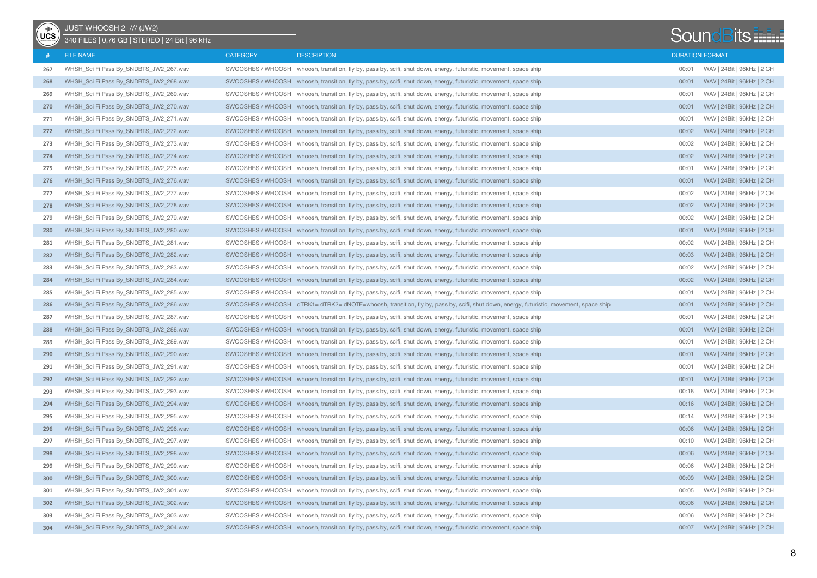| $rac{1}{\sqrt{1+\frac{1}{2}}}$ | JUST WHOOSH 2 /// (JW2)<br>340 FILES   0,76 GB   STEREO   24 Bit   96 kHz |                   |                                                                                                                                       |       | <b>SoundBits</b>           |
|--------------------------------|---------------------------------------------------------------------------|-------------------|---------------------------------------------------------------------------------------------------------------------------------------|-------|----------------------------|
|                                | <b>FILE NAME</b>                                                          | <b>CATEGORY</b>   | <b>DESCRIPTION</b>                                                                                                                    |       | <b>DURATION FORMAT</b>     |
| 267                            | WHSH_Sci Fi Pass By_SNDBTS_JW2_267.wav                                    |                   | SWOOSHES / WHOOSH whoosh, transition, fly by, pass by, scifi, shut down, energy, futuristic, movement, space ship                     | 00:01 | WAV   24Bit   96kHz   2 CH |
| 268                            | WHSH Sci Fi Pass By SNDBTS JW2 268.wav                                    |                   | SWOOSHES / WHOOSH whoosh, transition, fly by, pass by, scifi, shut down, energy, futuristic, movement, space ship                     | 00:01 | WAV   24Bit   96kHz   2 CH |
| 269                            | WHSH_Sci Fi Pass By_SNDBTS_JW2_269.wav                                    |                   | SWOOSHES / WHOOSH whoosh, transition, fly by, pass by, scifi, shut down, energy, futuristic, movement, space ship                     | 00:01 | WAV   24Bit   96kHz   2 CH |
| 270                            | WHSH_Sci Fi Pass By_SNDBTS_JW2_270.wav                                    | SWOOSHES / WHOOSH | whoosh, transition, fly by, pass by, scifi, shut down, energy, futuristic, movement, space ship                                       | 00:01 | WAV   24Bit   96kHz   2 CH |
| 271                            | WHSH_Sci Fi Pass By_SNDBTS_JW2_271.wav                                    | SWOOSHES / WHOOSH | whoosh, transition, fly by, pass by, scifi, shut down, energy, futuristic, movement, space ship                                       | 00:01 | WAV   24Bit   96kHz   2 CH |
| 272                            | WHSH_Sci Fi Pass By_SNDBTS_JW2_272.wav                                    |                   | SWOOSHES / WHOOSH whoosh, transition, fly by, pass by, scifi, shut down, energy, futuristic, movement, space ship                     | 00:02 | WAV   24Bit   96kHz   2 CH |
| 273                            | WHSH Sci Fi Pass By SNDBTS JW2 273.wav                                    |                   | SWOOSHES / WHOOSH whoosh, transition, fly by, pass by, scifi, shut down, energy, futuristic, movement, space ship                     | 00:02 | WAV   24Bit   96kHz   2 CH |
| 274                            | WHSH_Sci Fi Pass By_SNDBTS_JW2_274.wav                                    |                   | SWOOSHES / WHOOSH whoosh, transition, fly by, pass by, scifi, shut down, energy, futuristic, movement, space ship                     | 00:02 | WAV   24Bit   96kHz   2 CH |
| 275                            | WHSH_Sci Fi Pass By_SNDBTS_JW2_275.wav                                    |                   | SWOOSHES / WHOOSH whoosh, transition, fly by, pass by, scifi, shut down, energy, futuristic, movement, space ship                     | 00:01 | WAV   24Bit   96kHz   2 CH |
| 276                            | WHSH_Sci Fi Pass By_SNDBTS_JW2_276.wav                                    |                   | SWOOSHES / WHOOSH whoosh, transition, fly by, pass by, scifi, shut down, energy, futuristic, movement, space ship                     | 00:01 | WAV   24Bit   96kHz   2 CH |
| 277                            | WHSH_Sci Fi Pass By_SNDBTS_JW2_277.wav                                    |                   | SWOOSHES / WHOOSH whoosh, transition, fly by, pass by, scifi, shut down, energy, futuristic, movement, space ship                     | 00:02 | WAV   24Bit   96kHz   2 CH |
| 278                            | WHSH_Sci Fi Pass By_SNDBTS_JW2_278.wav                                    |                   | SWOOSHES / WHOOSH whoosh, transition, fly by, pass by, scifi, shut down, energy, futuristic, movement, space ship                     | 00:02 | WAV   24Bit   96kHz   2 CH |
| 279                            | WHSH_Sci Fi Pass By_SNDBTS_JW2_279.wav                                    | SWOOSHES / WHOOSH | whoosh, transition, fly by, pass by, scifi, shut down, energy, futuristic, movement, space ship                                       | 00:02 | WAV   24Bit   96kHz   2 CH |
| 280                            | WHSH_Sci Fi Pass By_SNDBTS_JW2_280.wav                                    |                   | SWOOSHES / WHOOSH whoosh, transition, fly by, pass by, scifi, shut down, energy, futuristic, movement, space ship                     | 00:01 | WAV   24Bit   96kHz   2 CH |
| 281                            | WHSH_Sci Fi Pass By_SNDBTS_JW2_281.wav                                    |                   | SWOOSHES / WHOOSH whoosh, transition, fly by, pass by, scifi, shut down, energy, futuristic, movement, space ship                     | 00:02 | WAV   24Bit   96kHz   2 CH |
| 282                            | WHSH_Sci Fi Pass By_SNDBTS_JW2_282.wav                                    |                   | SWOOSHES / WHOOSH whoosh, transition, fly by, pass by, scifi, shut down, energy, futuristic, movement, space ship                     | 00:03 | WAV   24Bit   96kHz   2 CH |
| 283                            | WHSH Sci Fi Pass By SNDBTS JW2 283.wav                                    |                   | SWOOSHES / WHOOSH whoosh, transition, fly by, pass by, scifi, shut down, energy, futuristic, movement, space ship                     | 00:02 | WAV   24Bit   96kHz   2 CH |
| 284                            | WHSH_Sci Fi Pass By_SNDBTS_JW2_284.wav                                    |                   | SWOOSHES / WHOOSH whoosh, transition, fly by, pass by, scifi, shut down, energy, futuristic, movement, space ship                     | 00:02 | WAV   24Bit   96kHz   2 CH |
| 285                            | WHSH_Sci Fi Pass By_SNDBTS_JW2_285.wav                                    | SWOOSHES / WHOOSH | whoosh, transition, fly by, pass by, scifi, shut down, energy, futuristic, movement, space ship                                       | 00:01 | WAV   24Bit   96kHz   2 CH |
| 286                            | WHSH_Sci Fi Pass By_SNDBTS_JW2_286.wav                                    |                   | SWOOSHES / WHOOSH dTRK1= dTRK2= dNOTE=whoosh, transition, fly by, pass by, scifi, shut down, energy, futuristic, movement, space ship | 00:01 | WAV   24Bit   96kHz   2 CH |
| 287                            | WHSH_Sci Fi Pass By_SNDBTS_JW2_287.wav                                    | SWOOSHES / WHOOSH | whoosh, transition, fly by, pass by, scifi, shut down, energy, futuristic, movement, space ship                                       | 00:01 | WAV   24Bit   96kHz   2 CH |
| 288                            | WHSH_Sci Fi Pass By_SNDBTS_JW2_288.wav                                    |                   | SWOOSHES / WHOOSH whoosh, transition, fly by, pass by, scifi, shut down, energy, futuristic, movement, space ship                     | 00:01 | WAV   24Bit   96kHz   2 CH |
| 289                            | WHSH_Sci Fi Pass By_SNDBTS_JW2_289.wav                                    |                   | SWOOSHES / WHOOSH whoosh, transition, fly by, pass by, scifi, shut down, energy, futuristic, movement, space ship                     | 00:01 | WAV   24Bit   96kHz   2 CH |
| 290                            | WHSH_Sci Fi Pass By_SNDBTS_JW2_290.wav                                    |                   | SWOOSHES / WHOOSH whoosh, transition, fly by, pass by, scifi, shut down, energy, futuristic, movement, space ship                     | 00:01 | WAV   24Bit   96kHz   2 CH |
| 291                            | WHSH_Sci Fi Pass By_SNDBTS_JW2_291.wav                                    |                   | SWOOSHES / WHOOSH whoosh, transition, fly by, pass by, scifi, shut down, energy, futuristic, movement, space ship                     | 00:01 | WAV   24Bit   96kHz   2 CH |
| 292                            | WHSH_Sci Fi Pass By_SNDBTS_JW2_292.wav                                    |                   | SWOOSHES / WHOOSH whoosh, transition, fly by, pass by, scifi, shut down, energy, futuristic, movement, space ship                     | 00:01 | WAV   24Bit   96kHz   2 CH |
| 293                            | WHSH_Sci Fi Pass By_SNDBTS_JW2_293.wav                                    |                   | SWOOSHES / WHOOSH whoosh, transition, fly by, pass by, scifi, shut down, energy, futuristic, movement, space ship                     | 00:18 | WAV   24Bit   96kHz   2 CH |
| 294                            | WHSH_Sci Fi Pass By_SNDBTS_JW2_294.wav                                    |                   | SWOOSHES / WHOOSH whoosh, transition, fly by, pass by, scifi, shut down, energy, futuristic, movement, space ship                     | 00:16 | WAV   24Bit   96kHz   2 CH |
| 295                            | WHSH_Sci Fi Pass By_SNDBTS_JW2_295.wav                                    |                   | SWOOSHES / WHOOSH whoosh, transition, fly by, pass by, scifi, shut down, energy, futuristic, movement, space ship                     | 00:14 | WAV   24Bit   96kHz   2 CH |
| 296                            | WHSH_Sci Fi Pass By_SNDBTS_JW2_296.wav                                    |                   | SWOOSHES / WHOOSH whoosh, transition, fly by, pass by, scifi, shut down, energy, futuristic, movement, space ship                     | 00:06 | WAV   24Bit   96kHz   2 CH |
| 297                            | WHSH_Sci Fi Pass By_SNDBTS_JW2_297.wav                                    |                   | SWOOSHES / WHOOSH whoosh, transition, fly by, pass by, scifi, shut down, energy, futuristic, movement, space ship                     | 00:10 | WAV   24Bit   96kHz   2 CH |
| 298                            | WHSH_Sci Fi Pass By_SNDBTS_JW2_298.wav                                    |                   | SWOOSHES / WHOOSH whoosh, transition, fly by, pass by, scifi, shut down, energy, futuristic, movement, space ship                     | 00:06 | WAV   24Bit   96kHz   2 CH |
| 299                            | WHSH_Sci Fi Pass By_SNDBTS_JW2_299.wav                                    |                   | SWOOSHES / WHOOSH whoosh, transition, fly by, pass by, scifi, shut down, energy, futuristic, movement, space ship                     | 00:06 | WAV   24Bit   96kHz   2 CH |
| 300                            | WHSH_Sci Fi Pass By_SNDBTS_JW2_300.wav                                    |                   | SWOOSHES / WHOOSH whoosh, transition, fly by, pass by, scifi, shut down, energy, futuristic, movement, space ship                     | 00:09 | WAV   24Bit   96kHz   2 CH |
| 301                            | WHSH_Sci Fi Pass By_SNDBTS_JW2_301.wav                                    |                   | SWOOSHES / WHOOSH whoosh, transition, fly by, pass by, scifi, shut down, energy, futuristic, movement, space ship                     | 00:05 | WAV   24Bit   96kHz   2 CH |
| 302                            | WHSH_Sci Fi Pass By_SNDBTS_JW2_302.wav                                    |                   | SWOOSHES / WHOOSH whoosh, transition, fly by, pass by, scifi, shut down, energy, futuristic, movement, space ship                     | 00:06 | WAV   24Bit   96kHz   2 CH |
| 303                            | WHSH_Sci Fi Pass By_SNDBTS_JW2_303.wav                                    |                   | SWOOSHES / WHOOSH whoosh, transition, fly by, pass by, scifi, shut down, energy, futuristic, movement, space ship                     | 00:06 | WAV   24Bit   96kHz   2 CH |
| 304                            | WHSH_Sci Fi Pass By_SNDBTS_JW2_304.wav                                    |                   | SWOOSHES / WHOOSH whoosh, transition, fly by, pass by, scifi, shut down, energy, futuristic, movement, space ship                     | 00:07 | WAV   24Bit   96kHz   2 CH |